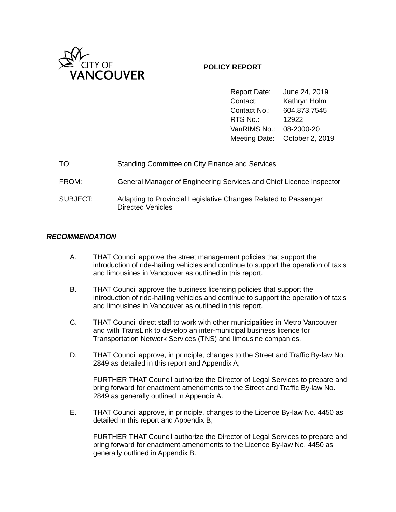

# **POLICY REPORT**

Report Date: June 24, 2019 Contact: Kathryn Holm Contact No.: 604.873.7545 RTS No.: 12922 VanRIMS No.: 08-2000-20 Meeting Date: October 2, 2019

| TO:      | Standing Committee on City Finance and Services                                             |
|----------|---------------------------------------------------------------------------------------------|
| FROM:    | General Manager of Engineering Services and Chief Licence Inspector                         |
| SUBJECT: | Adapting to Provincial Legislative Changes Related to Passenger<br><b>Directed Vehicles</b> |

# *RECOMMENDATION*

- A. THAT Council approve the street management policies that support the introduction of ride-hailing vehicles and continue to support the operation of taxis and limousines in Vancouver as outlined in this report.
- B. THAT Council approve the business licensing policies that support the introduction of ride-hailing vehicles and continue to support the operation of taxis and limousines in Vancouver as outlined in this report.
- C. THAT Council direct staff to work with other municipalities in Metro Vancouver and with TransLink to develop an inter-municipal business licence for Transportation Network Services (TNS) and limousine companies.
- D. THAT Council approve, in principle, changes to the Street and Traffic By-law No. 2849 as detailed in this report and Appendix A;

FURTHER THAT Council authorize the Director of Legal Services to prepare and bring forward for enactment amendments to the Street and Traffic By-law No. 2849 as generally outlined in Appendix A.

E. THAT Council approve, in principle, changes to the Licence By-law No. 4450 as detailed in this report and Appendix B;

FURTHER THAT Council authorize the Director of Legal Services to prepare and bring forward for enactment amendments to the Licence By-law No. 4450 as generally outlined in Appendix B.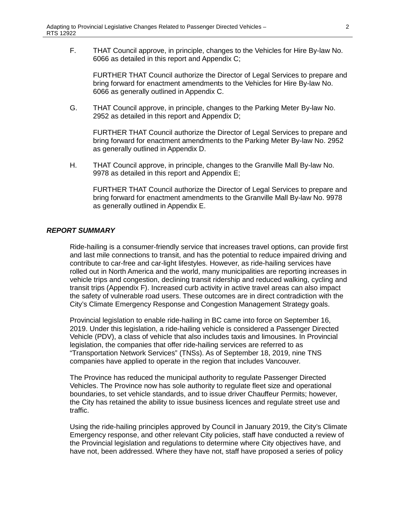F. THAT Council approve, in principle, changes to the Vehicles for Hire By-law No. 6066 as detailed in this report and Appendix C;

FURTHER THAT Council authorize the Director of Legal Services to prepare and bring forward for enactment amendments to the Vehicles for Hire By-law No. 6066 as generally outlined in Appendix C.

G. THAT Council approve, in principle, changes to the Parking Meter By-law No. 2952 as detailed in this report and Appendix D;

FURTHER THAT Council authorize the Director of Legal Services to prepare and bring forward for enactment amendments to the Parking Meter By-law No. 2952 as generally outlined in Appendix D.

H. THAT Council approve, in principle, changes to the Granville Mall By-law No. 9978 as detailed in this report and Appendix E;

FURTHER THAT Council authorize the Director of Legal Services to prepare and bring forward for enactment amendments to the Granville Mall By-law No. 9978 as generally outlined in Appendix E.

## *REPORT SUMMARY*

Ride-hailing is a consumer-friendly service that increases travel options, can provide first and last mile connections to transit, and has the potential to reduce impaired driving and contribute to car-free and car-light lifestyles. However, as ride-hailing services have rolled out in North America and the world, many municipalities are reporting increases in vehicle trips and congestion, declining transit ridership and reduced walking, cycling and transit trips (Appendix F). Increased curb activity in active travel areas can also impact the safety of vulnerable road users. These outcomes are in direct contradiction with the City's Climate Emergency Response and Congestion Management Strategy goals.

Provincial legislation to enable ride-hailing in BC came into force on September 16, 2019. Under this legislation, a ride-hailing vehicle is considered a Passenger Directed Vehicle (PDV), a class of vehicle that also includes taxis and limousines. In Provincial legislation, the companies that offer ride-hailing services are referred to as "Transportation Network Services" (TNSs). As of September 18, 2019, nine TNS companies have applied to operate in the region that includes Vancouver.

The Province has reduced the municipal authority to regulate Passenger Directed Vehicles. The Province now has sole authority to regulate fleet size and operational boundaries, to set vehicle standards, and to issue driver Chauffeur Permits; however, the City has retained the ability to issue business licences and regulate street use and traffic.

Using the ride-hailing principles approved by Council in January 2019, the City's Climate Emergency response, and other relevant City policies, staff have conducted a review of the Provincial legislation and regulations to determine where City objectives have, and have not, been addressed. Where they have not, staff have proposed a series of policy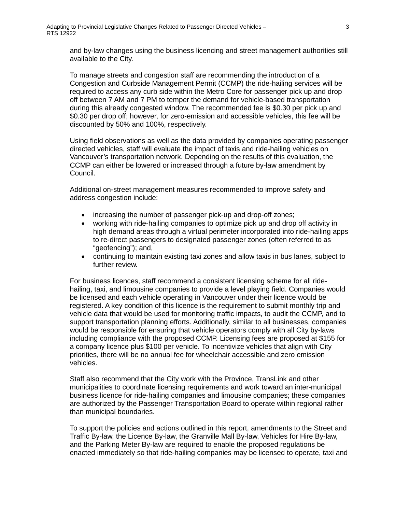and by-law changes using the business licencing and street management authorities still available to the City.

To manage streets and congestion staff are recommending the introduction of a Congestion and Curbside Management Permit (CCMP) the ride-hailing services will be required to access any curb side within the Metro Core for passenger pick up and drop off between 7 AM and 7 PM to temper the demand for vehicle-based transportation during this already congested window. The recommended fee is \$0.30 per pick up and \$0.30 per drop off; however, for zero-emission and accessible vehicles, this fee will be discounted by 50% and 100%, respectively.

Using field observations as well as the data provided by companies operating passenger directed vehicles, staff will evaluate the impact of taxis and ride-hailing vehicles on Vancouver's transportation network. Depending on the results of this evaluation, the CCMP can either be lowered or increased through a future by-law amendment by Council.

Additional on-street management measures recommended to improve safety and address congestion include:

- increasing the number of passenger pick-up and drop-off zones;
- working with ride-hailing companies to optimize pick up and drop off activity in high demand areas through a virtual perimeter incorporated into ride-hailing apps to re-direct passengers to designated passenger zones (often referred to as "geofencing"); and,
- continuing to maintain existing taxi zones and allow taxis in bus lanes, subject to further review.

For business licences, staff recommend a consistent licensing scheme for all ridehailing, taxi, and limousine companies to provide a level playing field. Companies would be licensed and each vehicle operating in Vancouver under their licence would be registered. A key condition of this licence is the requirement to submit monthly trip and vehicle data that would be used for monitoring traffic impacts, to audit the CCMP, and to support transportation planning efforts. Additionally, similar to all businesses, companies would be responsible for ensuring that vehicle operators comply with all City by-laws including compliance with the proposed CCMP. Licensing fees are proposed at \$155 for a company licence plus \$100 per vehicle. To incentivize vehicles that align with City priorities, there will be no annual fee for wheelchair accessible and zero emission vehicles.

Staff also recommend that the City work with the Province, TransLink and other municipalities to coordinate licensing requirements and work toward an inter-municipal business licence for ride-hailing companies and limousine companies; these companies are authorized by the Passenger Transportation Board to operate within regional rather than municipal boundaries.

To support the policies and actions outlined in this report, amendments to the Street and Traffic By-law, the Licence By-law, the Granville Mall By-law, Vehicles for Hire By-law, and the Parking Meter By-law are required to enable the proposed regulations be enacted immediately so that ride-hailing companies may be licensed to operate, taxi and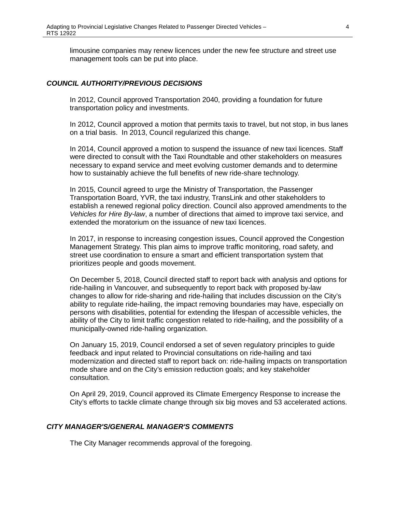limousine companies may renew licences under the new fee structure and street use management tools can be put into place.

## *COUNCIL AUTHORITY/PREVIOUS DECISIONS*

In 2012, Council approved Transportation 2040, providing a foundation for future transportation policy and investments.

In 2012, Council approved a motion that permits taxis to travel, but not stop, in bus lanes on a trial basis. In 2013, Council regularized this change.

In 2014, Council approved a motion to suspend the issuance of new taxi licences. Staff were directed to consult with the Taxi Roundtable and other stakeholders on measures necessary to expand service and meet evolving customer demands and to determine how to sustainably achieve the full benefits of new ride-share technology.

In 2015, Council agreed to urge the Ministry of Transportation, the Passenger Transportation Board, YVR, the taxi industry, TransLink and other stakeholders to establish a renewed regional policy direction. Council also approved amendments to the *Vehicles for Hire By-law*, a number of directions that aimed to improve taxi service, and extended the moratorium on the issuance of new taxi licences.

In 2017, in response to increasing congestion issues, Council approved the Congestion Management Strategy. This plan aims to improve traffic monitoring, road safety, and street use coordination to ensure a smart and efficient transportation system that prioritizes people and goods movement.

On December 5, 2018, Council directed staff to report back with analysis and options for ride-hailing in Vancouver, and subsequently to report back with proposed by-law changes to allow for ride-sharing and ride-hailing that includes discussion on the City's ability to regulate ride-hailing, the impact removing boundaries may have, especially on persons with disabilities, potential for extending the lifespan of accessible vehicles, the ability of the City to limit traffic congestion related to ride-hailing, and the possibility of a municipally-owned ride-hailing organization.

On January 15, 2019, Council endorsed a set of seven regulatory principles to guide feedback and input related to Provincial consultations on ride-hailing and taxi modernization and directed staff to report back on: ride-hailing impacts on transportation mode share and on the City's emission reduction goals; and key stakeholder consultation.

On April 29, 2019, Council approved its Climate Emergency Response to increase the City's efforts to tackle climate change through six big moves and 53 accelerated actions.

# *CITY MANAGER'S/GENERAL MANAGER'S COMMENTS*

The City Manager recommends approval of the foregoing.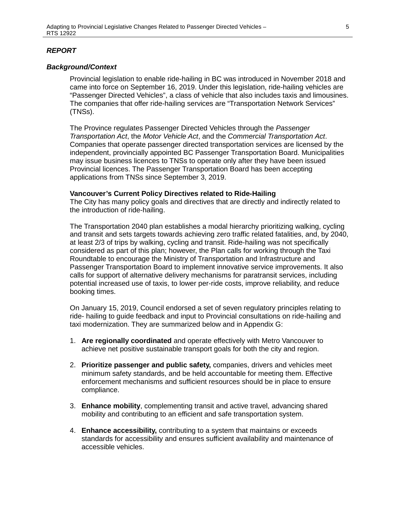## *REPORT*

### *Background/Context*

Provincial legislation to enable ride-hailing in BC was introduced in November 2018 and came into force on September 16, 2019. Under this legislation, ride-hailing vehicles are "Passenger Directed Vehicles", a class of vehicle that also includes taxis and limousines. The companies that offer ride-hailing services are "Transportation Network Services" (TNSs).

The Province regulates Passenger Directed Vehicles through the *Passenger Transportation Act*, the *Motor Vehicle Act*, and the *Commercial Transportation Act*. Companies that operate passenger directed transportation services are licensed by the independent, provincially appointed BC Passenger Transportation Board. Municipalities may issue business licences to TNSs to operate only after they have been issued Provincial licences. The Passenger Transportation Board has been accepting applications from TNSs since September 3, 2019.

#### **Vancouver's Current Policy Directives related to Ride-Hailing**

The City has many policy goals and directives that are directly and indirectly related to the introduction of ride-hailing.

The Transportation 2040 plan establishes a modal hierarchy prioritizing walking, cycling and transit and sets targets towards achieving zero traffic related fatalities, and, by 2040, at least 2/3 of trips by walking, cycling and transit. Ride-hailing was not specifically considered as part of this plan; however, the Plan calls for working through the Taxi Roundtable to encourage the Ministry of Transportation and Infrastructure and Passenger Transportation Board to implement innovative service improvements. It also calls for support of alternative delivery mechanisms for paratransit services, including potential increased use of taxis, to lower per-ride costs, improve reliability, and reduce booking times.

On January 15, 2019, Council endorsed a set of seven regulatory principles relating to ride- hailing to guide feedback and input to Provincial consultations on ride-hailing and taxi modernization. They are summarized below and in Appendix G:

- 1. **Are regionally coordinated** and operate effectively with Metro Vancouver to achieve net positive sustainable transport goals for both the city and region.
- 2. **Prioritize passenger and public safety,** companies, drivers and vehicles meet minimum safety standards, and be held accountable for meeting them. Effective enforcement mechanisms and sufficient resources should be in place to ensure compliance.
- 3. **Enhance mobility**, complementing transit and active travel, advancing shared mobility and contributing to an efficient and safe transportation system.
- 4. **Enhance accessibility,** contributing to a system that maintains or exceeds standards for accessibility and ensures sufficient availability and maintenance of accessible vehicles.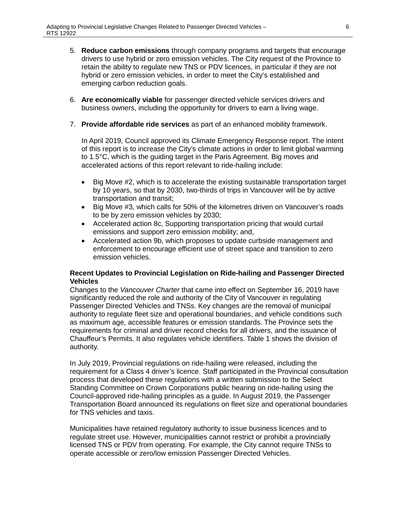- 5. **Reduce carbon emissions** through company programs and targets that encourage drivers to use hybrid or zero emission vehicles. The City request of the Province to retain the ability to regulate new TNS or PDV licences, in particular if they are not hybrid or zero emission vehicles, in order to meet the City's established and emerging carbon reduction goals.
- 6. **Are economically viable** for passenger directed vehicle services drivers and business owners, including the opportunity for drivers to earn a living wage.
- 7. **Provide affordable ride services** as part of an enhanced mobility framework.

In April 2019, Council approved its Climate Emergency Response report. The intent of this report is to increase the City's climate actions in order to limit global warming to 1.5°C, which is the guiding target in the Paris Agreement. Big moves and accelerated actions of this report relevant to ride-hailing include:

- Big Move #2, which is to accelerate the existing sustainable transportation target by 10 years, so that by 2030, two-thirds of trips in Vancouver will be by active transportation and transit;
- Big Move #3, which calls for 50% of the kilometres driven on Vancouver's roads to be by zero emission vehicles by 2030;
- Accelerated action 8c, Supporting transportation pricing that would curtail emissions and support zero emission mobility; and,
- Accelerated action 9b, which proposes to update curbside management and enforcement to encourage efficient use of street space and transition to zero emission vehicles.

# **Recent Updates to Provincial Legislation on Ride-hailing and Passenger Directed Vehicles**

Changes to the *Vancouver Charter* that came into effect on September 16, 2019 have significantly reduced the role and authority of the City of Vancouver in regulating Passenger Directed Vehicles and TNSs. Key changes are the removal of municipal authority to regulate fleet size and operational boundaries, and vehicle conditions such as maximum age, accessible features or emission standards. The Province sets the requirements for criminal and driver record checks for all drivers, and the issuance of Chauffeur's Permits. It also regulates vehicle identifiers. Table 1 shows the division of authority.

In July 2019, Provincial regulations on ride-hailing were released, including the requirement for a Class 4 driver's licence. Staff participated in the Provincial consultation process that developed these regulations with a written submission to the Select Standing Committee on Crown Corporations public hearing on ride-hailing using the Council-approved ride-hailing principles as a guide. In August 2019, the Passenger Transportation Board announced its regulations on fleet size and operational boundaries for TNS vehicles and taxis.

Municipalities have retained regulatory authority to issue business licences and to regulate street use. However, municipalities cannot restrict or prohibit a provincially licensed TNS or PDV from operating. For example, the City cannot require TNSs to operate accessible or zero/low emission Passenger Directed Vehicles.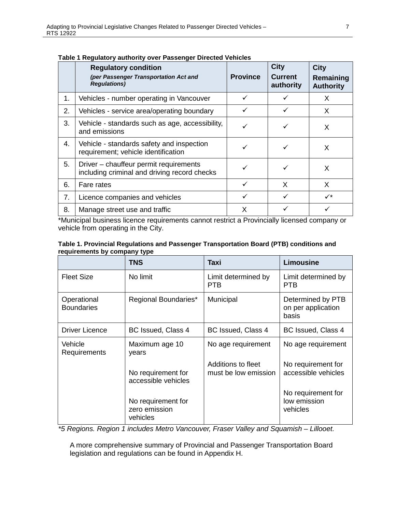|    | ga.a.v. <i>j</i> aav. <i>j</i> v. v. . aoovgo.<br><b>Regulatory condition</b><br>(per Passenger Transportation Act and<br><b>Regulations)</b> | <b>Province</b> | <b>City</b><br><b>Current</b><br>authority | <b>City</b><br>Remaining<br><b>Authority</b> |
|----|-----------------------------------------------------------------------------------------------------------------------------------------------|-----------------|--------------------------------------------|----------------------------------------------|
| 1. | Vehicles - number operating in Vancouver                                                                                                      |                 |                                            | X                                            |
| 2. | Vehicles - service area/operating boundary                                                                                                    |                 |                                            | X                                            |
| 3. | Vehicle - standards such as age, accessibility,<br>and emissions                                                                              |                 |                                            | X                                            |
| 4. | Vehicle - standards safety and inspection<br>requirement; vehicle identification                                                              |                 |                                            | X                                            |
| 5. | Driver - chauffeur permit requirements<br>including criminal and driving record checks                                                        |                 |                                            | X                                            |
| 6. | Fare rates                                                                                                                                    | ✓               | X                                          | X                                            |
| 7. | Licence companies and vehicles                                                                                                                | ✓               |                                            | $\checkmark$                                 |
| 8. | Manage street use and traffic                                                                                                                 | X               |                                            |                                              |

**Table 1 Regulatory authority over Passenger Directed Vehicles**

\*Municipal business licence requirements cannot restrict a Provincially licensed company or vehicle from operating in the City.

| requirements by company type | Table 1. Provincial Regulations and Passenger Transportation Board (PTB) conditions and |  |  |
|------------------------------|-----------------------------------------------------------------------------------------|--|--|
|                              |                                                                                         |  |  |

|                                  | <b>TNS</b>                                      | Taxi                                       | Limousine                                        |
|----------------------------------|-------------------------------------------------|--------------------------------------------|--------------------------------------------------|
| <b>Fleet Size</b>                | No limit                                        | Limit determined by<br>PTB                 | Limit determined by<br><b>PTB</b>                |
| Operational<br><b>Boundaries</b> | Regional Boundaries*                            | Municipal                                  | Determined by PTB<br>on per application<br>basis |
| <b>Driver Licence</b>            | BC Issued, Class 4                              | BC Issued, Class 4                         | BC Issued, Class 4                               |
| Vehicle<br>Requirements          | Maximum age 10<br>years                         | No age requirement                         | No age requirement                               |
|                                  | No requirement for<br>accessible vehicles       | Additions to fleet<br>must be low emission | No requirement for<br>accessible vehicles        |
|                                  | No requirement for<br>zero emission<br>vehicles |                                            | No requirement for<br>low emission<br>vehicles   |

*\*5 Regions. Region 1 includes Metro Vancouver, Fraser Valley and Squamish – Lillooet.* 

A more comprehensive summary of Provincial and Passenger Transportation Board legislation and regulations can be found in Appendix H.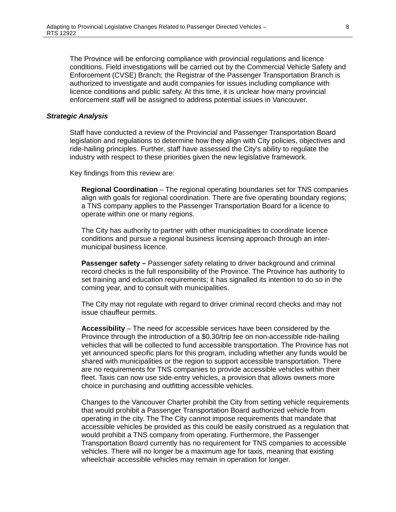The Province will be enforcing compliance with provincial regulations and licence conditions. Field investigations will be carried out by the Commercial Vehicle Safety and Enforcement (CVSE) Branch; the Registrar of the Passenger Transportation Branch is authorized to investigate and audit companies for issues including compliance with licence conditions and public safety. At this time, it is unclear how many provincial enforcement staff will be assigned to address potential issues in Vancouver.

#### *Strategic Analysis*

Staff have conducted a review of the Provincial and Passenger Transportation Board legislation and regulations to determine how they align with City policies, objectives and ride-hailing principles. Further, staff have assessed the City's ability to regulate the industry with respect to these priorities given the new legislative framework.

Key findings from this review are:

**Regional Coordination** – The regional operating boundaries set for TNS companies align with goals for regional coordination. There are five operating boundary regions; a TNS company applies to the Passenger Transportation Board for a licence to operate within one or many regions.

The City has authority to partner with other municipalities to coordinate licence conditions and pursue a regional business licensing approach through an intermunicipal business licence.

**Passenger safety – Passenger safety relating to driver background and criminal** record checks is the full responsibility of the Province. The Province has authority to set training and education requirements; it has signalled its intention to do so in the coming year, and to consult with municipalities.

The City may not regulate with regard to driver criminal record checks and may not issue chauffeur permits.

**Accessibility** – The need for accessible services have been considered by the Province through the introduction of a \$0.30/trip fee on non-accessible ride-hailing vehicles that will be collected to fund accessible transportation. The Province has not yet announced specific plans for this program, including whether any funds would be shared with municipalities or the region to support accessible transportation. There are no requirements for TNS companies to provide accessible vehicles within their fleet. Taxis can now use side-entry vehicles, a provision that allows owners more choice in purchasing and outfitting accessible vehicles.

Changes to the Vancouver Charter prohibit the City from setting vehicle requirements that would prohibit a Passenger Transportation Board authorized vehicle from operating in the city. The The City cannot impose requirements that mandate that accessible vehicles be provided as this could be easily construed as a regulation that would prohibit a TNS company from operating. Furthermore, the Passenger Transportation Board currently has no requirement for TNS companies to accessible vehicles. There will no longer be a maximum age for taxis, meaning that existing wheelchair accessible vehicles may remain in operation for longer.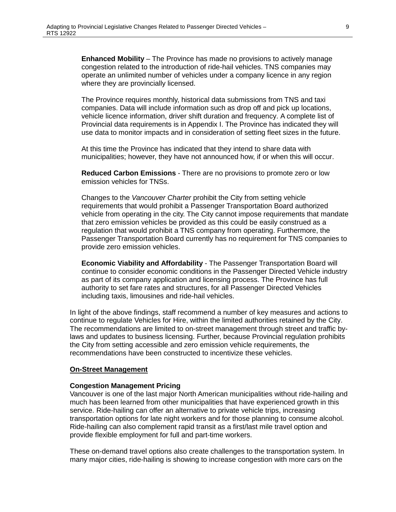**Enhanced Mobility** – The Province has made no provisions to actively manage congestion related to the introduction of ride-hail vehicles. TNS companies may operate an unlimited number of vehicles under a company licence in any region where they are provincially licensed.

The Province requires monthly, historical data submissions from TNS and taxi companies. Data will include information such as drop off and pick up locations, vehicle licence information, driver shift duration and frequency. A complete list of Provincial data requirements is in Appendix I. The Province has indicated they will use data to monitor impacts and in consideration of setting fleet sizes in the future.

At this time the Province has indicated that they intend to share data with municipalities; however, they have not announced how, if or when this will occur.

**Reduced Carbon Emissions** - There are no provisions to promote zero or low emission vehicles for TNSs.

Changes to the *Vancouver Charter* prohibit the City from setting vehicle requirements that would prohibit a Passenger Transportation Board authorized vehicle from operating in the city. The City cannot impose requirements that mandate that zero emission vehicles be provided as this could be easily construed as a regulation that would prohibit a TNS company from operating. Furthermore, the Passenger Transportation Board currently has no requirement for TNS companies to provide zero emission vehicles.

**Economic Viability and Affordability** - The Passenger Transportation Board will continue to consider economic conditions in the Passenger Directed Vehicle industry as part of its company application and licensing process. The Province has full authority to set fare rates and structures, for all Passenger Directed Vehicles including taxis, limousines and ride-hail vehicles.

In light of the above findings, staff recommend a number of key measures and actions to continue to regulate Vehicles for Hire, within the limited authorities retained by the City. The recommendations are limited to on-street management through street and traffic bylaws and updates to business licensing. Further, because Provincial regulation prohibits the City from setting accessible and zero emission vehicle requirements, the recommendations have been constructed to incentivize these vehicles.

## **On-Street Management**

#### **Congestion Management Pricing**

Vancouver is one of the last major North American municipalities without ride-hailing and much has been learned from other municipalities that have experienced growth in this service. Ride-hailing can offer an alternative to private vehicle trips, increasing transportation options for late night workers and for those planning to consume alcohol. Ride-hailing can also complement rapid transit as a first/last mile travel option and provide flexible employment for full and part-time workers.

These on-demand travel options also create challenges to the transportation system. In many major cities, ride-hailing is showing to increase congestion with more cars on the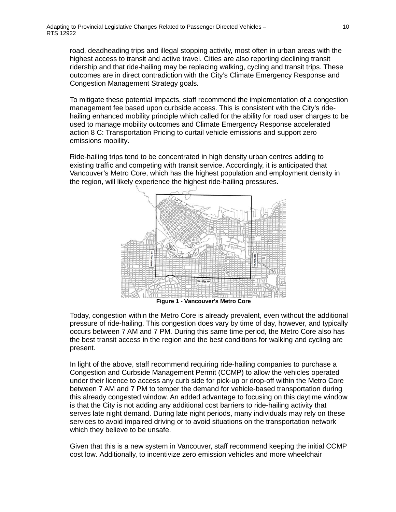road, deadheading trips and illegal stopping activity, most often in urban areas with the highest access to transit and active travel. Cities are also reporting declining transit ridership and that ride-hailing may be replacing walking, cycling and transit trips. These outcomes are in direct contradiction with the City's Climate Emergency Response and Congestion Management Strategy goals.

To mitigate these potential impacts, staff recommend the implementation of a congestion management fee based upon curbside access. This is consistent with the City's ridehailing enhanced mobility principle which called for the ability for road user charges to be used to manage mobility outcomes and Climate Emergency Response accelerated action 8 C: Transportation Pricing to curtail vehicle emissions and support zero emissions mobility.

Ride-hailing trips tend to be concentrated in high density urban centres adding to existing traffic and competing with transit service. Accordingly, it is anticipated that Vancouver's Metro Core, which has the highest population and employment density in the region, will likely experience the highest ride-hailing pressures.



Today, congestion within the Metro Core is already prevalent, even without the additional pressure of ride-hailing. This congestion does vary by time of day, however, and typically occurs between 7 AM and 7 PM. During this same time period, the Metro Core also has the best transit access in the region and the best conditions for walking and cycling are present.

In light of the above, staff recommend requiring ride-hailing companies to purchase a Congestion and Curbside Management Permit (CCMP) to allow the vehicles operated under their licence to access any curb side for pick-up or drop-off within the Metro Core between 7 AM and 7 PM to temper the demand for vehicle-based transportation during this already congested window. An added advantage to focusing on this daytime window is that the City is not adding any additional cost barriers to ride-hailing activity that serves late night demand. During late night periods, many individuals may rely on these services to avoid impaired driving or to avoid situations on the transportation network which they believe to be unsafe.

Given that this is a new system in Vancouver, staff recommend keeping the initial CCMP cost low. Additionally, to incentivize zero emission vehicles and more wheelchair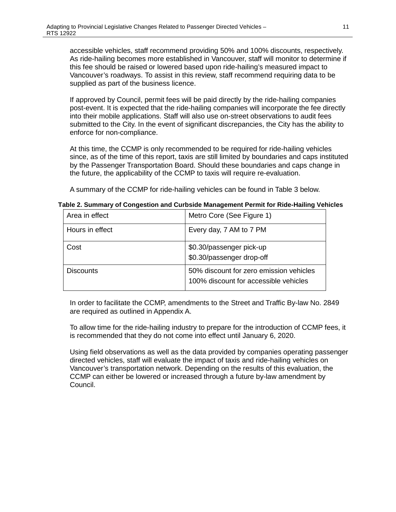accessible vehicles, staff recommend providing 50% and 100% discounts, respectively. As ride-hailing becomes more established in Vancouver, staff will monitor to determine if this fee should be raised or lowered based upon ride-hailing's measured impact to Vancouver's roadways. To assist in this review, staff recommend requiring data to be supplied as part of the business licence.

If approved by Council, permit fees will be paid directly by the ride-hailing companies post-event. It is expected that the ride-hailing companies will incorporate the fee directly into their mobile applications. Staff will also use on-street observations to audit fees submitted to the City. In the event of significant discrepancies, the City has the ability to enforce for non-compliance.

At this time, the CCMP is only recommended to be required for ride-hailing vehicles since, as of the time of this report, taxis are still limited by boundaries and caps instituted by the Passenger Transportation Board. Should these boundaries and caps change in the future, the applicability of the CCMP to taxis will require re-evaluation.

A summary of the CCMP for ride-hailing vehicles can be found in Table 3 below.

| Area in effect   | Metro Core (See Figure 1)                                                        |
|------------------|----------------------------------------------------------------------------------|
| Hours in effect  | Every day, 7 AM to 7 PM                                                          |
| Cost             | \$0.30/passenger pick-up<br>\$0.30/passenger drop-off                            |
| <b>Discounts</b> | 50% discount for zero emission vehicles<br>100% discount for accessible vehicles |

**Table 2. Summary of Congestion and Curbside Management Permit for Ride-Hailing Vehicles**

In order to facilitate the CCMP, amendments to the Street and Traffic By-law No. 2849 are required as outlined in Appendix A.

To allow time for the ride-hailing industry to prepare for the introduction of CCMP fees, it is recommended that they do not come into effect until January 6, 2020.

Using field observations as well as the data provided by companies operating passenger directed vehicles, staff will evaluate the impact of taxis and ride-hailing vehicles on Vancouver's transportation network. Depending on the results of this evaluation, the CCMP can either be lowered or increased through a future by-law amendment by Council.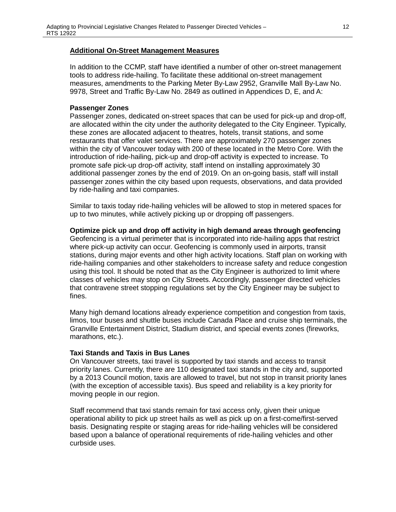## **Additional On-Street Management Measures**

In addition to the CCMP, staff have identified a number of other on-street management tools to address ride-hailing. To facilitate these additional on-street management measures, amendments to the Parking Meter By-Law 2952, Granville Mall By-Law No. 9978, Street and Traffic By-Law No. 2849 as outlined in Appendices D, E, and A:

#### **Passenger Zones**

Passenger zones, dedicated on-street spaces that can be used for pick-up and drop-off, are allocated within the city under the authority delegated to the City Engineer. Typically, these zones are allocated adjacent to theatres, hotels, transit stations, and some restaurants that offer valet services. There are approximately 270 passenger zones within the city of Vancouver today with 200 of these located in the Metro Core. With the introduction of ride-hailing, pick-up and drop-off activity is expected to increase. To promote safe pick-up drop-off activity, staff intend on installing approximately 30 additional passenger zones by the end of 2019. On an on-going basis, staff will install passenger zones within the city based upon requests, observations, and data provided by ride-hailing and taxi companies.

Similar to taxis today ride-hailing vehicles will be allowed to stop in metered spaces for up to two minutes, while actively picking up or dropping off passengers.

#### **Optimize pick up and drop off activity in high demand areas through geofencing**

Geofencing is a virtual perimeter that is incorporated into ride-hailing apps that restrict where pick-up activity can occur. Geofencing is commonly used in airports, transit stations, during major events and other high activity locations. Staff plan on working with ride-hailing companies and other stakeholders to increase safety and reduce congestion using this tool. It should be noted that as the City Engineer is authorized to limit where classes of vehicles may stop on City Streets. Accordingly, passenger directed vehicles that contravene street stopping regulations set by the City Engineer may be subject to fines.

Many high demand locations already experience competition and congestion from taxis, limos, tour buses and shuttle buses include Canada Place and cruise ship terminals, the Granville Entertainment District, Stadium district, and special events zones (fireworks, marathons, etc.).

#### **Taxi Stands and Taxis in Bus Lanes**

On Vancouver streets, taxi travel is supported by taxi stands and access to transit priority lanes. Currently, there are 110 designated taxi stands in the city and, supported by a 2013 Council motion, taxis are allowed to travel, but not stop in transit priority lanes (with the exception of accessible taxis). Bus speed and reliability is a key priority for moving people in our region.

Staff recommend that taxi stands remain for taxi access only, given their unique operational ability to pick up street hails as well as pick up on a first-come/first-served basis. Designating respite or staging areas for ride-hailing vehicles will be considered based upon a balance of operational requirements of ride-hailing vehicles and other curbside uses.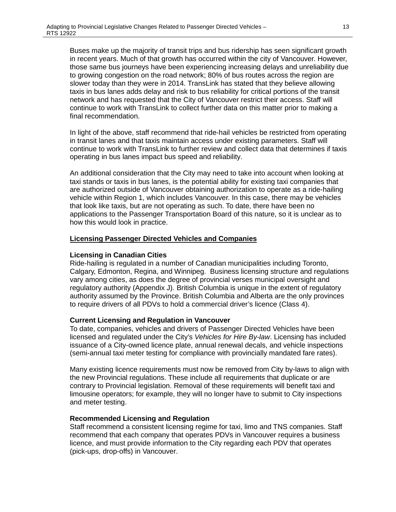Buses make up the majority of transit trips and bus ridership has seen significant growth in recent years. Much of that growth has occurred within the city of Vancouver. However, those same bus journeys have been experiencing increasing delays and unreliability due to growing congestion on the road network; 80% of bus routes across the region are slower today than they were in 2014. TransLink has stated that they believe allowing taxis in bus lanes adds delay and risk to bus reliability for critical portions of the transit network and has requested that the City of Vancouver restrict their access. Staff will continue to work with TransLink to collect further data on this matter prior to making a final recommendation.

In light of the above, staff recommend that ride-hail vehicles be restricted from operating in transit lanes and that taxis maintain access under existing parameters. Staff will continue to work with TransLink to further review and collect data that determines if taxis operating in bus lanes impact bus speed and reliability.

An additional consideration that the City may need to take into account when looking at taxi stands or taxis in bus lanes, is the potential ability for existing taxi companies that are authorized outside of Vancouver obtaining authorization to operate as a ride-hailing vehicle within Region 1, which includes Vancouver. In this case, there may be vehicles that look like taxis, but are not operating as such. To date, there have been no applications to the Passenger Transportation Board of this nature, so it is unclear as to how this would look in practice.

## **Licensing Passenger Directed Vehicles and Companies**

## **Licensing in Canadian Cities**

Ride-hailing is regulated in a number of Canadian municipalities including Toronto, Calgary, Edmonton, Regina, and Winnipeg. Business licensing structure and regulations vary among cities, as does the degree of provincial verses municipal oversight and regulatory authority (Appendix J). British Columbia is unique in the extent of regulatory authority assumed by the Province. British Columbia and Alberta are the only provinces to require drivers of all PDVs to hold a commercial driver's licence (Class 4).

## **Current Licensing and Regulation in Vancouver**

To date, companies, vehicles and drivers of Passenger Directed Vehicles have been licensed and regulated under the City's *Vehicles for Hire By-law*. Licensing has included issuance of a City-owned licence plate, annual renewal decals, and vehicle inspections (semi-annual taxi meter testing for compliance with provincially mandated fare rates).

Many existing licence requirements must now be removed from City by-laws to align with the new Provincial regulations. These include all requirements that duplicate or are contrary to Provincial legislation. Removal of these requirements will benefit taxi and limousine operators; for example, they will no longer have to submit to City inspections and meter testing.

## **Recommended Licensing and Regulation**

Staff recommend a consistent licensing regime for taxi, limo and TNS companies. Staff recommend that each company that operates PDVs in Vancouver requires a business licence, and must provide information to the City regarding each PDV that operates (pick-ups, drop-offs) in Vancouver.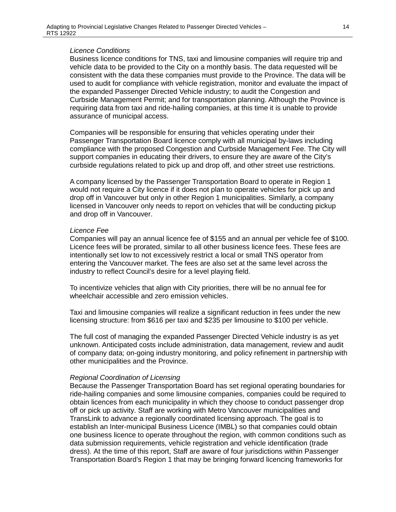#### *Licence Conditions*

Business licence conditions for TNS, taxi and limousine companies will require trip and vehicle data to be provided to the City on a monthly basis. The data requested will be consistent with the data these companies must provide to the Province. The data will be used to audit for compliance with vehicle registration, monitor and evaluate the impact of the expanded Passenger Directed Vehicle industry; to audit the Congestion and Curbside Management Permit; and for transportation planning. Although the Province is requiring data from taxi and ride-hailing companies, at this time it is unable to provide assurance of municipal access.

Companies will be responsible for ensuring that vehicles operating under their Passenger Transportation Board licence comply with all municipal by-laws including compliance with the proposed Congestion and Curbside Management Fee. The City will support companies in educating their drivers, to ensure they are aware of the City's curbside regulations related to pick up and drop off, and other street use restrictions.

A company licensed by the Passenger Transportation Board to operate in Region 1 would not require a City licence if it does not plan to operate vehicles for pick up and drop off in Vancouver but only in other Region 1 municipalities. Similarly, a company licensed in Vancouver only needs to report on vehicles that will be conducting pickup and drop off in Vancouver.

#### *Licence Fee*

Companies will pay an annual licence fee of \$155 and an annual per vehicle fee of \$100. Licence fees will be prorated, similar to all other business licence fees. These fees are intentionally set low to not excessively restrict a local or small TNS operator from entering the Vancouver market. The fees are also set at the same level across the industry to reflect Council's desire for a level playing field.

To incentivize vehicles that align with City priorities, there will be no annual fee for wheelchair accessible and zero emission vehicles.

Taxi and limousine companies will realize a significant reduction in fees under the new licensing structure: from \$616 per taxi and \$235 per limousine to \$100 per vehicle.

The full cost of managing the expanded Passenger Directed Vehicle industry is as yet unknown. Anticipated costs include administration, data management, review and audit of company data; on-going industry monitoring, and policy refinement in partnership with other municipalities and the Province.

#### *Regional Coordination of Licensing*

Because the Passenger Transportation Board has set regional operating boundaries for ride-hailing companies and some limousine companies, companies could be required to obtain licences from each municipality in which they choose to conduct passenger drop off or pick up activity. Staff are working with Metro Vancouver municipalities and TransLink to advance a regionally coordinated licensing approach. The goal is to establish an Inter-municipal Business Licence (IMBL) so that companies could obtain one business licence to operate throughout the region, with common conditions such as data submission requirements, vehicle registration and vehicle identification (trade dress). At the time of this report, Staff are aware of four jurisdictions within Passenger Transportation Board's Region 1 that may be bringing forward licencing frameworks for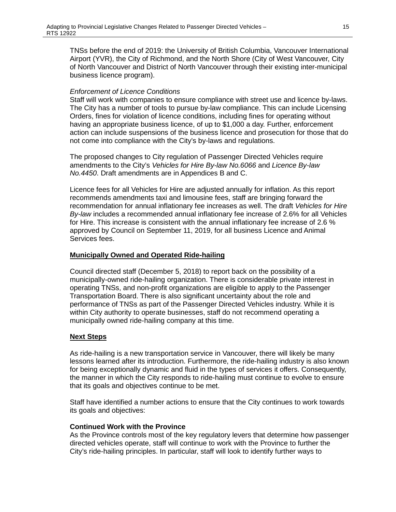TNSs before the end of 2019: the University of British Columbia, Vancouver International Airport (YVR), the City of Richmond, and the North Shore (City of West Vancouver, City of North Vancouver and District of North Vancouver through their existing inter-municipal business licence program).

# *Enforcement of Licence Conditions*

Staff will work with companies to ensure compliance with street use and licence by-laws. The City has a number of tools to pursue by-law compliance. This can include Licensing Orders, fines for violation of licence conditions, including fines for operating without having an appropriate business licence, of up to \$1,000 a day. Further, enforcement action can include suspensions of the business licence and prosecution for those that do not come into compliance with the City's by-laws and regulations.

The proposed changes to City regulation of Passenger Directed Vehicles require amendments to the City's *Vehicles for Hire By-law No.6066* and *Licence By-law No.4450*. Draft amendments are in Appendices B and C.

Licence fees for all Vehicles for Hire are adjusted annually for inflation. As this report recommends amendments taxi and limousine fees, staff are bringing forward the recommendation for annual inflationary fee increases as well. The draft *Vehicles for Hire By-law* includes a recommended annual inflationary fee increase of 2.6% for all Vehicles for Hire. This increase is consistent with the annual inflationary fee increase of 2.6 % approved by Council on September 11, 2019, for all business Licence and Animal Services fees.

# **Municipally Owned and Operated Ride-hailing**

Council directed staff (December 5, 2018) to report back on the possibility of a municipally-owned ride-hailing organization. There is considerable private interest in operating TNSs, and non-profit organizations are eligible to apply to the Passenger Transportation Board. There is also significant uncertainty about the role and performance of TNSs as part of the Passenger Directed Vehicles industry. While it is within City authority to operate businesses, staff do not recommend operating a municipally owned ride-hailing company at this time.

## **Next Steps**

As ride-hailing is a new transportation service in Vancouver, there will likely be many lessons learned after its introduction. Furthermore, the ride-hailing industry is also known for being exceptionally dynamic and fluid in the types of services it offers. Consequently, the manner in which the City responds to ride-hailing must continue to evolve to ensure that its goals and objectives continue to be met.

Staff have identified a number actions to ensure that the City continues to work towards its goals and objectives:

## **Continued Work with the Province**

As the Province controls most of the key regulatory levers that determine how passenger directed vehicles operate, staff will continue to work with the Province to further the City's ride-hailing principles. In particular, staff will look to identify further ways to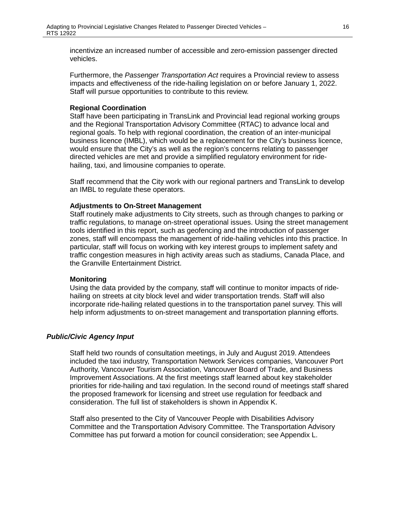incentivize an increased number of accessible and zero-emission passenger directed vehicles.

Furthermore, the *Passenger Transportation Act* requires a Provincial review to assess impacts and effectiveness of the ride-hailing legislation on or before January 1, 2022. Staff will pursue opportunities to contribute to this review.

#### **Regional Coordination**

Staff have been participating in TransLink and Provincial lead regional working groups and the Regional Transportation Advisory Committee (RTAC) to advance local and regional goals. To help with regional coordination, the creation of an inter-municipal business licence (IMBL), which would be a replacement for the City's business licence, would ensure that the City's as well as the region's concerns relating to passenger directed vehicles are met and provide a simplified regulatory environment for ridehailing, taxi, and limousine companies to operate.

Staff recommend that the City work with our regional partners and TransLink to develop an IMBL to regulate these operators.

## **Adjustments to On-Street Management**

Staff routinely make adjustments to City streets, such as through changes to parking or traffic regulations, to manage on-street operational issues. Using the street management tools identified in this report, such as geofencing and the introduction of passenger zones, staff will encompass the management of ride-hailing vehicles into this practice. In particular, staff will focus on working with key interest groups to implement safety and traffic congestion measures in high activity areas such as stadiums, Canada Place, and the Granville Entertainment District.

#### **Monitoring**

Using the data provided by the company, staff will continue to monitor impacts of ridehailing on streets at city block level and wider transportation trends. Staff will also incorporate ride-hailing related questions in to the transportation panel survey. This will help inform adjustments to on-street management and transportation planning efforts.

## *Public/Civic Agency Input*

Staff held two rounds of consultation meetings, in July and August 2019. Attendees included the taxi industry, Transportation Network Services companies, Vancouver Port Authority, Vancouver Tourism Association, Vancouver Board of Trade, and Business Improvement Associations. At the first meetings staff learned about key stakeholder priorities for ride-hailing and taxi regulation. In the second round of meetings staff shared the proposed framework for licensing and street use regulation for feedback and consideration. The full list of stakeholders is shown in Appendix K.

Staff also presented to the City of Vancouver People with Disabilities Advisory Committee and the Transportation Advisory Committee. The Transportation Advisory Committee has put forward a motion for council consideration; see Appendix L.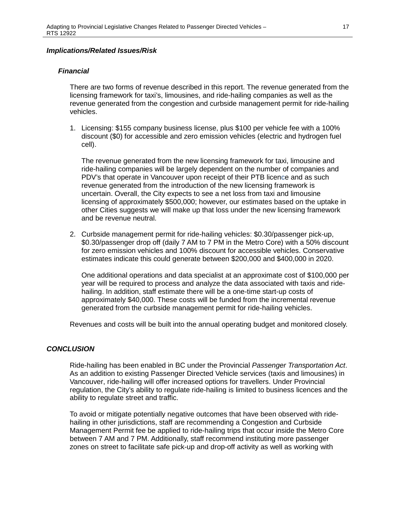## *Implications/Related Issues/Risk*

# *Financial*

There are two forms of revenue described in this report. The revenue generated from the licensing framework for taxi's, limousines, and ride-hailing companies as well as the revenue generated from the congestion and curbside management permit for ride-hailing vehicles.

1. Licensing: \$155 company business license, plus \$100 per vehicle fee with a 100% discount (\$0) for accessible and zero emission vehicles (electric and hydrogen fuel cell).

The revenue generated from the new licensing framework for taxi, limousine and ride-hailing companies will be largely dependent on the number of companies and PDV's that operate in Vancouver upon receipt of their PTB licence and as such revenue generated from the introduction of the new licensing framework is uncertain. Overall, the City expects to see a net loss from taxi and limousine licensing of approximately \$500,000; however, our estimates based on the uptake in other Cities suggests we will make up that loss under the new licensing framework and be revenue neutral.

2. Curbside management permit for ride-hailing vehicles: \$0.30/passenger pick-up, \$0.30/passenger drop off (daily 7 AM to 7 PM in the Metro Core) with a 50% discount for zero emission vehicles and 100% discount for accessible vehicles. Conservative estimates indicate this could generate between \$200,000 and \$400,000 in 2020.

One additional operations and data specialist at an approximate cost of \$100,000 per year will be required to process and analyze the data associated with taxis and ridehailing. In addition, staff estimate there will be a one-time start-up costs of approximately \$40,000. These costs will be funded from the incremental revenue generated from the curbside management permit for ride-hailing vehicles.

Revenues and costs will be built into the annual operating budget and monitored closely.

## *CONCLUSION*

Ride-hailing has been enabled in BC under the Provincial *Passenger Transportation Act*. As an addition to existing Passenger Directed Vehicle services (taxis and limousines) in Vancouver, ride-hailing will offer increased options for travellers. Under Provincial regulation, the City's ability to regulate ride-hailing is limited to business licences and the ability to regulate street and traffic.

To avoid or mitigate potentially negative outcomes that have been observed with ridehailing in other jurisdictions, staff are recommending a Congestion and Curbside Management Permit fee be applied to ride-hailing trips that occur inside the Metro Core between 7 AM and 7 PM. Additionally, staff recommend instituting more passenger zones on street to facilitate safe pick-up and drop-off activity as well as working with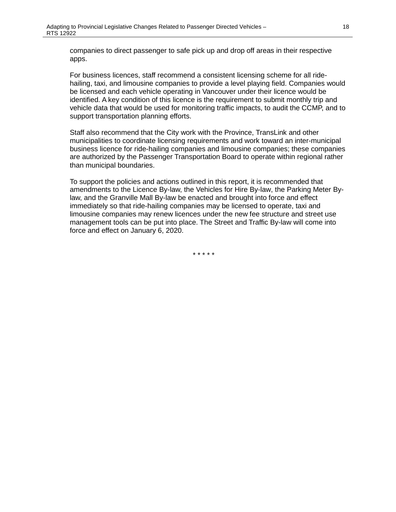companies to direct passenger to safe pick up and drop off areas in their respective apps.

For business licences, staff recommend a consistent licensing scheme for all ridehailing, taxi, and limousine companies to provide a level playing field. Companies would be licensed and each vehicle operating in Vancouver under their licence would be identified. A key condition of this licence is the requirement to submit monthly trip and vehicle data that would be used for monitoring traffic impacts, to audit the CCMP, and to support transportation planning efforts.

Staff also recommend that the City work with the Province, TransLink and other municipalities to coordinate licensing requirements and work toward an inter-municipal business licence for ride-hailing companies and limousine companies; these companies are authorized by the Passenger Transportation Board to operate within regional rather than municipal boundaries.

To support the policies and actions outlined in this report, it is recommended that amendments to the Licence By-law, the Vehicles for Hire By-law, the Parking Meter Bylaw, and the Granville Mall By-law be enacted and brought into force and effect immediately so that ride-hailing companies may be licensed to operate, taxi and limousine companies may renew licences under the new fee structure and street use management tools can be put into place. The Street and Traffic By-law will come into force and effect on January 6, 2020.

\* \* \* \* \*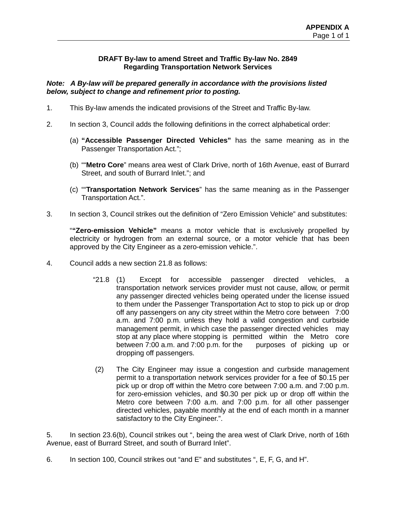# **DRAFT By-law to amend Street and Traffic By-law No. 2849 Regarding Transportation Network Services**

# *Note: A By-law will be prepared generally in accordance with the provisions listed below, subject to change and refinement prior to posting.*

- 1. This By-law amends the indicated provisions of the Street and Traffic By-law.
- 2. In section 3, Council adds the following definitions in the correct alphabetical order:
	- (a) **"Accessible Passenger Directed Vehicles"** has the same meaning as in the Passenger Transportation Act.";
	- (b) ""**Metro Core**" means area west of Clark Drive, north of 16th Avenue, east of Burrard Street, and south of Burrard Inlet."; and
	- (c) ""**Transportation Network Services**" has the same meaning as in the Passenger Transportation Act.".
- 3. In section 3, Council strikes out the definition of "Zero Emission Vehicle" and substitutes:

"**"Zero-emission Vehicle"** means a motor vehicle that is exclusively propelled by electricity or hydrogen from an external source, or a motor vehicle that has been approved by the City Engineer as a zero-emission vehicle.".

- 4. Council adds a new section 21.8 as follows:
	- "21.8 (1) Except for accessible passenger directed vehicles, a transportation network services provider must not cause, allow, or permit any passenger directed vehicles being operated under the license issued to them under the Passenger Transportation Act to stop to pick up or drop off any passengers on any city street within the Metro core between 7:00 a.m. and 7:00 p.m. unless they hold a valid congestion and curbside management permit, in which case the passenger directed vehicles may stop at any place where stopping is permitted within the Metro core between 7:00 a.m. and 7:00 p.m. for the purposes of picking up or dropping off passengers.
	- (2) The City Engineer may issue a congestion and curbside management permit to a transportation network services provider for a fee of \$0.15 per pick up or drop off within the Metro core between 7:00 a.m. and 7:00 p.m. for zero-emission vehicles, and \$0.30 per pick up or drop off within the Metro core between 7:00 a.m. and 7:00 p.m. for all other passenger directed vehicles, payable monthly at the end of each month in a manner satisfactory to the City Engineer.".

5. In section 23.6(b), Council strikes out ", being the area west of Clark Drive, north of 16th Avenue, east of Burrard Street, and south of Burrard Inlet".

6. In section 100, Council strikes out "and E" and substitutes ", E, F, G, and H".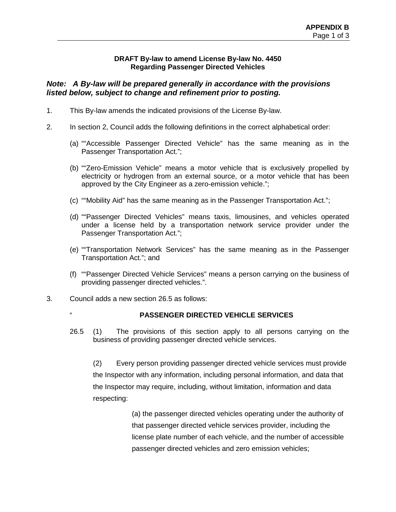# **DRAFT By-law to amend License By-law No. 4450 Regarding Passenger Directed Vehicles**

# *Note: A By-law will be prepared generally in accordance with the provisions listed below, subject to change and refinement prior to posting.*

- 1. This By-law amends the indicated provisions of the License By-law.
- 2. In section 2, Council adds the following definitions in the correct alphabetical order:
	- (a) ""Accessible Passenger Directed Vehicle" has the same meaning as in the Passenger Transportation Act.";
	- (b) ""Zero-Emission Vehicle" means a motor vehicle that is exclusively propelled by electricity or hydrogen from an external source, or a motor vehicle that has been approved by the City Engineer as a zero-emission vehicle.";
	- (c) ""Mobility Aid" has the same meaning as in the Passenger Transportation Act.";
	- (d) ""Passenger Directed Vehicles" means taxis, limousines, and vehicles operated under a license held by a transportation network service provider under the Passenger Transportation Act.";
	- (e) ""Transportation Network Services" has the same meaning as in the Passenger Transportation Act."; and
	- (f) ""Passenger Directed Vehicle Services" means a person carrying on the business of providing passenger directed vehicles.".
- 3. Council adds a new section 26.5 as follows:
	-

# " **PASSENGER DIRECTED VEHICLE SERVICES**

26.5 (1) The provisions of this section apply to all persons carrying on the business of providing passenger directed vehicle services.

(2) Every person providing passenger directed vehicle services must provide the Inspector with any information, including personal information, and data that the Inspector may require, including, without limitation, information and data respecting:

> (a) the passenger directed vehicles operating under the authority of that passenger directed vehicle services provider, including the license plate number of each vehicle, and the number of accessible passenger directed vehicles and zero emission vehicles;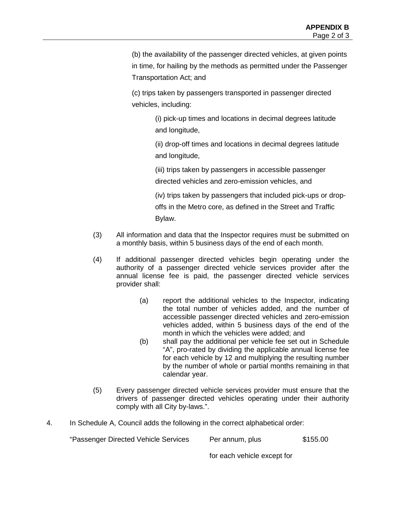(b) the availability of the passenger directed vehicles, at given points in time, for hailing by the methods as permitted under the Passenger Transportation Act; and

(c) trips taken by passengers transported in passenger directed vehicles, including:

> (i) pick-up times and locations in decimal degrees latitude and longitude,

(ii) drop-off times and locations in decimal degrees latitude and longitude,

(iii) trips taken by passengers in accessible passenger

directed vehicles and zero-emission vehicles, and

(iv) trips taken by passengers that included pick-ups or drop-

offs in the Metro core, as defined in the Street and Traffic Bylaw.

- (3) All information and data that the Inspector requires must be submitted on a monthly basis, within 5 business days of the end of each month.
- (4) If additional passenger directed vehicles begin operating under the authority of a passenger directed vehicle services provider after the annual license fee is paid, the passenger directed vehicle services provider shall:
	- (a) report the additional vehicles to the Inspector, indicating the total number of vehicles added, and the number of accessible passenger directed vehicles and zero-emission vehicles added, within 5 business days of the end of the month in which the vehicles were added; and
	- (b) shall pay the additional per vehicle fee set out in Schedule "A", pro-rated by dividing the applicable annual license fee for each vehicle by 12 and multiplying the resulting number by the number of whole or partial months remaining in that calendar year.
- (5) Every passenger directed vehicle services provider must ensure that the drivers of passenger directed vehicles operating under their authority comply with all City by-laws.".
- 4. In Schedule A, Council adds the following in the correct alphabetical order:

"Passenger Directed Vehicle Services Per annum, plus \$155.00

for each vehicle except for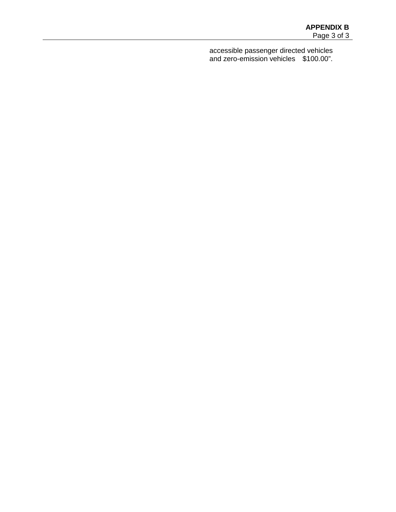accessible passenger directed vehicles and zero-emission vehicles \$100.00".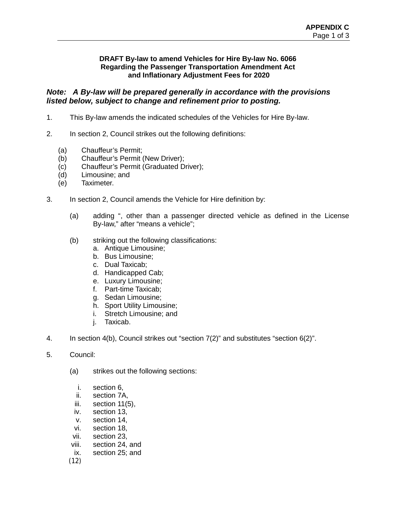# **DRAFT By-law to amend Vehicles for Hire By-law No. 6066 Regarding the Passenger Transportation Amendment Act and Inflationary Adjustment Fees for 2020**

# *Note: A By-law will be prepared generally in accordance with the provisions listed below, subject to change and refinement prior to posting.*

- 1. This By-law amends the indicated schedules of the Vehicles for Hire By-law.
- 2. In section 2, Council strikes out the following definitions:
	- (a) Chauffeur's Permit;
	- (b) Chauffeur's Permit (New Driver);
	- (c) Chauffeur's Permit (Graduated Driver);
	- (d) Limousine; and
	- (e) Taximeter.
- 3. In section 2, Council amends the Vehicle for Hire definition by:
	- (a) adding ", other than a passenger directed vehicle as defined in the License By-law," after "means a vehicle";
	- (b) striking out the following classifications:
		- a. Antique Limousine;
		- b. Bus Limousine;
		- c. Dual Taxicab;
		- d. Handicapped Cab;
		- e. Luxury Limousine;
		- f. Part-time Taxicab;
		- g. Sedan Limousine;
		- h. Sport Utility Limousine;
		- i. Stretch Limousine; and
		- j. Taxicab.
- 4. In section 4(b), Council strikes out "section 7(2)" and substitutes "section 6(2)".
- 5. Council:
	- (a) strikes out the following sections:
		- i. section 6,
		- ii. section 7A,
		- iii. section 11(5),
		- iv. section 13,
		- v. section 14,
		- vi. section 18,
	- vii. section 23,
	- viii. section 24, and
	- ix. section 25; and

(12)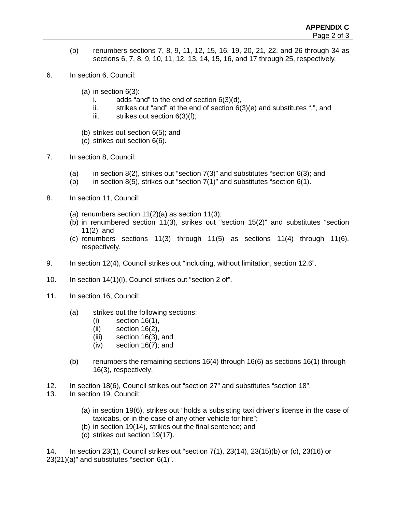- (b) renumbers sections 7, 8, 9, 11, 12, 15, 16, 19, 20, 21, 22, and 26 through 34 as sections 6, 7, 8, 9, 10, 11, 12, 13, 14, 15, 16, and 17 through 25, respectively.
- 6. In section 6, Council:
	- (a) in section  $6(3)$ :
		- i. adds "and" to the end of section  $6(3)(d)$ ,
		- ii. strikes out "and" at the end of section  $6(3)(e)$  and substitutes ".", and
		- iii. strikes out section  $6(3)(f)$ ;
	- (b) strikes out section 6(5); and
	- (c) strikes out section 6(6).
- 7. In section 8, Council:
	- (a) in section  $8(2)$ , strikes out "section  $7(3)$ " and substitutes "section  $6(3)$ ; and
	- (b) in section  $8(5)$ , strikes out "section  $7(1)$ " and substitutes "section  $6(1)$ .
- 8. In section 11, Council:
	- (a) renumbers section  $11(2)(a)$  as section  $11(3)$ ;
	- (b) in renumbered section 11(3), strikes out "section 15(2)" and substitutes "section 11(2); and
	- (c) renumbers sections 11(3) through 11(5) as sections 11(4) through 11(6), respectively.
- 9. In section 12(4), Council strikes out "including, without limitation, section 12.6".
- 10. In section 14(1)(l), Council strikes out "section 2 of".
- 11. In section 16, Council:
	- (a) strikes out the following sections:
		- (i) section 16(1),
		- (ii) section 16(2),
		- (iii) section 16(3), and
		- (iv) section 16(7); and
	- (b) renumbers the remaining sections 16(4) through 16(6) as sections 16(1) through 16(3), respectively.
- 12. In section 18(6), Council strikes out "section 27" and substitutes "section 18".
- 13. In section 19, Council:
	- (a) in section 19(6), strikes out "holds a subsisting taxi driver's license in the case of taxicabs, or in the case of any other vehicle for hire";
	- (b) in section 19(14), strikes out the final sentence; and
	- (c) strikes out section 19(17).

14. In section 23(1), Council strikes out "section 7(1), 23(14), 23(15)(b) or (c), 23(16) or 23(21)(a)" and substitutes "section 6(1)".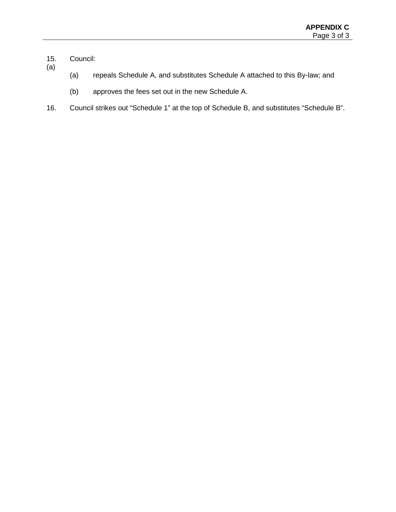- 15. Council: (a)
	- (a) repeals Schedule A, and substitutes Schedule A attached to this By-law; and
	- (b) approves the fees set out in the new Schedule A.
- 16. Council strikes out "Schedule 1" at the top of Schedule B, and substitutes "Schedule B".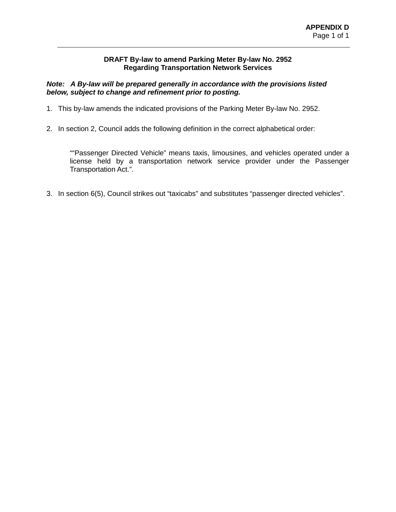# **DRAFT By-law to amend Parking Meter By-law No. 2952 Regarding Transportation Network Services**

# *Note: A By-law will be prepared generally in accordance with the provisions listed below, subject to change and refinement prior to posting.*

- 1. This by-law amends the indicated provisions of the Parking Meter By-law No. 2952.
- 2. In section 2, Council adds the following definition in the correct alphabetical order:

""Passenger Directed Vehicle" means taxis, limousines, and vehicles operated under a license held by a transportation network service provider under the Passenger Transportation Act.".

3. In section 6(5), Council strikes out "taxicabs" and substitutes "passenger directed vehicles".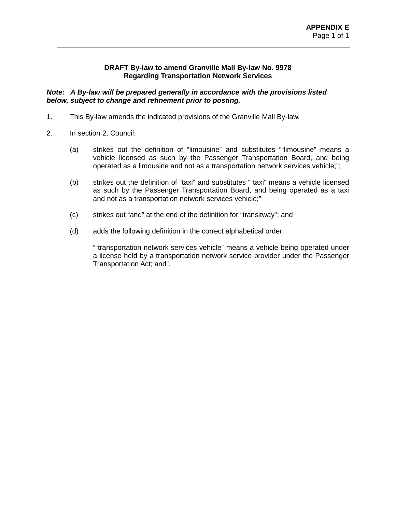# **DRAFT By-law to amend Granville Mall By-law No. 9978 Regarding Transportation Network Services**

*Note: A By-law will be prepared generally in accordance with the provisions listed below, subject to change and refinement prior to posting.*

- 1. This By-law amends the indicated provisions of the Granville Mall By-law.
- 2. In section 2, Council:
	- (a) strikes out the definition of "limousine" and substitutes ""limousine" means a vehicle licensed as such by the Passenger Transportation Board, and being operated as a limousine and not as a transportation network services vehicle;";
	- (b) strikes out the definition of "taxi" and substitutes ""taxi" means a vehicle licensed as such by the Passenger Transportation Board, and being operated as a taxi and not as a transportation network services vehicle;"
	- (c) strikes out "and" at the end of the definition for "transitway"; and
	- (d) adds the following definition in the correct alphabetical order:

""transportation network services vehicle" means a vehicle being operated under a license held by a transportation network service provider under the Passenger Transportation Act; and".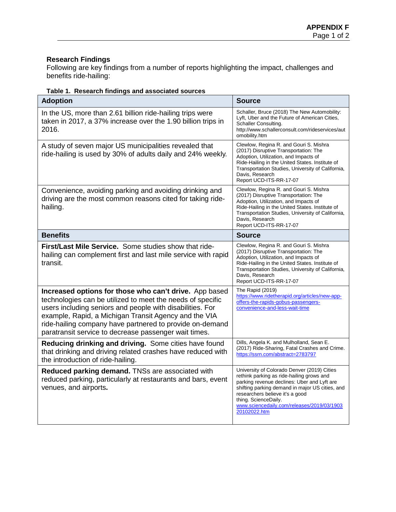# **Research Findings**

Following are key findings from a number of reports highlighting the impact, challenges and benefits ride-hailing:

|  | Table 1. Research findings and associated sources |  |
|--|---------------------------------------------------|--|
|--|---------------------------------------------------|--|

| <b>Adoption</b>                                                                                                                                                                                                                                                                                                                                                 | <b>Source</b>                                                                                                                                                                                                                                                                                                       |
|-----------------------------------------------------------------------------------------------------------------------------------------------------------------------------------------------------------------------------------------------------------------------------------------------------------------------------------------------------------------|---------------------------------------------------------------------------------------------------------------------------------------------------------------------------------------------------------------------------------------------------------------------------------------------------------------------|
| In the US, more than 2.61 billion ride-hailing trips were<br>taken in 2017, a 37% increase over the 1.90 billion trips in<br>2016.                                                                                                                                                                                                                              | Schaller, Bruce (2018) The New Automobility:<br>Lyft, Uber and the Future of American Cities,<br>Schaller Consulting.<br>http://www.schallerconsult.com/rideservices/aut<br>omobility.htm                                                                                                                           |
| A study of seven major US municipalities revealed that<br>ride-hailing is used by 30% of adults daily and 24% weekly.                                                                                                                                                                                                                                           | Clewlow, Regina R. and Gouri S. Mishra<br>(2017) Disruptive Transportation: The<br>Adoption, Utilization, and Impacts of<br>Ride-Hailing in the United States. Institute of<br>Transportation Studies, University of California,<br>Davis, Research<br>Report UCD-ITS-RR-17-07                                      |
| Convenience, avoiding parking and avoiding drinking and<br>driving are the most common reasons cited for taking ride-<br>hailing.                                                                                                                                                                                                                               | Clewlow, Regina R. and Gouri S. Mishra<br>(2017) Disruptive Transportation: The<br>Adoption, Utilization, and Impacts of<br>Ride-Hailing in the United States. Institute of<br>Transportation Studies, University of California,<br>Davis, Research<br>Report UCD-ITS-RR-17-07                                      |
| <b>Benefits</b>                                                                                                                                                                                                                                                                                                                                                 | <b>Source</b>                                                                                                                                                                                                                                                                                                       |
| First/Last Mile Service. Some studies show that ride-<br>hailing can complement first and last mile service with rapid<br>transit.                                                                                                                                                                                                                              | Clewlow, Regina R. and Gouri S. Mishra<br>(2017) Disruptive Transportation: The<br>Adoption, Utilization, and Impacts of<br>Ride-Hailing in the United States. Institute of<br>Transportation Studies, University of California,<br>Davis, Research<br>Report UCD-ITS-RR-17-07                                      |
| Increased options for those who can't drive. App based<br>technologies can be utilized to meet the needs of specific<br>users including seniors and people with disabilities. For<br>example, Rapid, a Michigan Transit Agency and the VIA<br>ride-hailing company have partnered to provide on-demand<br>paratransit service to decrease passenger wait times. | The Rapid (2019)<br>https://www.ridetherapid.org/articles/new-app-<br>offers-the-rapids-gobus-passengers-<br>convenience-and-less-wait-time                                                                                                                                                                         |
| Reducing drinking and driving. Some cities have found<br>that drinking and driving related crashes have reduced with<br>the introduction of ride-hailing.                                                                                                                                                                                                       | Dills, Angela K. and Mulholland, Sean E.<br>(2017) Ride-Sharing, Fatal Crashes and Crime.<br>https://ssrn.com/abstract=2783797                                                                                                                                                                                      |
| Reduced parking demand. TNSs are associated with<br>reduced parking, particularly at restaurants and bars, event<br>venues, and airports.                                                                                                                                                                                                                       | University of Colorado Denver (2019) Cities<br>rethink parking as ride-hailing grows and<br>parking revenue declines: Uber and Lyft are<br>shifting parking demand in major US cities, and<br>researchers believe it's a good<br>thing. ScienceDaily.<br>www.sciencedaily.com/releases/2019/03/1903<br>20102022.htm |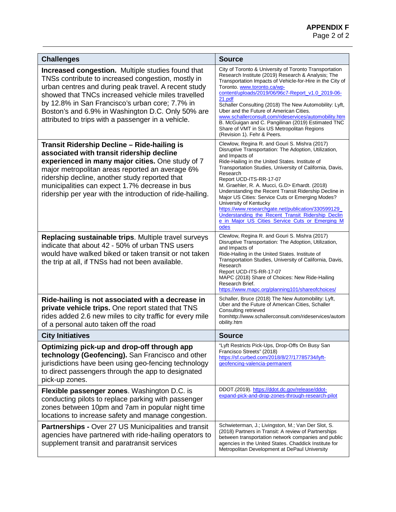| <b>Challenges</b>                                                                                                                                                                                                                                                                                                                                                                   | <b>Source</b>                                                                                                                                                                                                                                                                                                                                                                                                                                                                                                                                                                                                                                 |
|-------------------------------------------------------------------------------------------------------------------------------------------------------------------------------------------------------------------------------------------------------------------------------------------------------------------------------------------------------------------------------------|-----------------------------------------------------------------------------------------------------------------------------------------------------------------------------------------------------------------------------------------------------------------------------------------------------------------------------------------------------------------------------------------------------------------------------------------------------------------------------------------------------------------------------------------------------------------------------------------------------------------------------------------------|
| Increased congestion. Multiple studies found that<br>TNSs contribute to increased congestion, mostly in<br>urban centres and during peak travel. A recent study<br>showed that TNCs increased vehicle miles travelled<br>by 12.8% in San Francisco's urban core; 7.7% in<br>Boston's and 6.9% in Washington D.C. Only 50% are<br>attributed to trips with a passenger in a vehicle. | City of Toronto & University of Toronto Transportation<br>Research Institute (2019) Research & Analysis; The<br>Transportation Impacts of Vehicle-for-Hire in the City of<br>Toronto. www.toronto.ca/wp-<br>content/uploads/2019/06/96c7-Report_v1.0_2019-06-<br>21.pdf<br>Schaller Consulting (2018) The New Automobility: Lyft,<br>Uber and the Future of American Cities.<br>www.schallerconsult.com/rideservices/automobility.htm<br>B. McGuigan and C. Pangilinan (2019) Estimated TNC<br>Share of VMT in Six US Metropolitan Regions<br>(Revision 1). Fehr & Peers.                                                                     |
| Transit Ridership Decline - Ride-hailing is<br>associated with transit ridership decline<br>experienced in many major cities. One study of 7<br>major metropolitan areas reported an average 6%<br>ridership decline, another study reported that<br>municipalities can expect 1.7% decrease in bus<br>ridership per year with the introduction of ride-hailing.                    | Clewlow, Regina R. and Gouri S. Mishra (2017)<br>Disruptive Transportation: The Adoption, Utilization,<br>and Impacts of<br>Ride-Hailing in the United States. Institute of<br>Transportation Studies, University of California, Davis,<br>Research<br>Report UCD-ITS-RR-17-07<br>M. Graehler, R. A. Mucci, G.D> Erhardt. (2018)<br>Understanding the Recent Transit Ridership Decline in<br>Major US Cities: Service Cuts or Emerging Modes?<br>University of Kentucky<br>https://www.researchgate.net/publication/330599129<br>Understanding the Recent Transit Ridership Declin<br>e in Major US Cities Service Cuts or Emerging M<br>odes |
| Replacing sustainable trips. Multiple travel surveys<br>indicate that about 42 - 50% of urban TNS users<br>would have walked biked or taken transit or not taken<br>the trip at all, if TNSs had not been available.                                                                                                                                                                | Clewlow, Regina R. and Gouri S. Mishra (2017)<br>Disruptive Transportation: The Adoption, Utilization,<br>and Impacts of<br>Ride-Hailing in the United States. Institute of<br>Transportation Studies, University of California, Davis,<br>Research<br>Report UCD-ITS-RR-17-07<br>MAPC (2018) Share of Choices: New Ride-Hailing<br>Research Brief.<br>https://www.mapc.org/planning101/shareofchoices/                                                                                                                                                                                                                                       |
| Ride-hailing is not associated with a decrease in<br>private vehicle trips. One report stated that TNS<br>rides added 2.6 new miles to city traffic for every mile<br>of a personal auto taken off the road                                                                                                                                                                         | Schaller, Bruce (2018) The New Automobility: Lyft,<br>Uber and the Future of American Cities, Schaller<br>Consulting retrieved<br>fromhttp://www.schallerconsult.com/rideservices/autom<br>obility.htm                                                                                                                                                                                                                                                                                                                                                                                                                                        |
| <b>City Initiatives</b>                                                                                                                                                                                                                                                                                                                                                             | <b>Source</b>                                                                                                                                                                                                                                                                                                                                                                                                                                                                                                                                                                                                                                 |
| Optimizing pick-up and drop-off through app<br>technology (Geofencing). San Francisco and other<br>jurisdictions have been using geo-fencing technology<br>to direct passengers through the app to designated<br>pick-up zones.                                                                                                                                                     | "Lyft Restricts Pick-Ups, Drop-Offs On Busy San<br>Francisco Streets" (2018)<br>https://sf.curbed.com/2018/8/27/17785734/lyft-<br>geofencing-valencia-permanent                                                                                                                                                                                                                                                                                                                                                                                                                                                                               |
| Flexible passenger zones. Washington D.C. is<br>conducting pilots to replace parking with passenger<br>zones between 10pm and 7am in popular night time<br>locations to increase safety and manage congestion.                                                                                                                                                                      | DDOT.(2019). https://ddot.dc.gov/release/ddot-<br>expand-pick-and-drop-zones-through-research-pilot                                                                                                                                                                                                                                                                                                                                                                                                                                                                                                                                           |
| Partnerships - Over 27 US Municipalities and transit<br>agencies have partnered with ride-hailing operators to<br>supplement transit and paratransit services                                                                                                                                                                                                                       | Schwieterman, J.; Livingston, M.; Van Der Slot, S.<br>(2018) Partners in Transit: A review of Partnerships<br>between transportation network companies and public<br>agencies in the United States. Chaddick Institute for<br>Metropolitan Development at DePaul University                                                                                                                                                                                                                                                                                                                                                                   |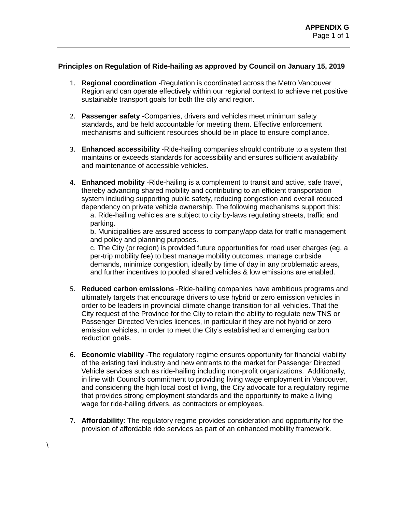# **Principles on Regulation of Ride-hailing as approved by Council on January 15, 2019**

- 1. **Regional coordination** -Regulation is coordinated across the Metro Vancouver Region and can operate effectively within our regional context to achieve net positive sustainable transport goals for both the city and region.
- 2. **Passenger safety** -Companies, drivers and vehicles meet minimum safety standards, and be held accountable for meeting them. Effective enforcement mechanisms and sufficient resources should be in place to ensure compliance.
- 3. **Enhanced accessibility** -Ride-hailing companies should contribute to a system that maintains or exceeds standards for accessibility and ensures sufficient availability and maintenance of accessible vehicles.
- 4. **Enhanced mobility** -Ride-hailing is a complement to transit and active, safe travel, thereby advancing shared mobility and contributing to an efficient transportation system including supporting public safety, reducing congestion and overall reduced dependency on private vehicle ownership. The following mechanisms support this:

a. Ride-hailing vehicles are subject to city by-laws regulating streets, traffic and parking.

b. Municipalities are assured access to company/app data for traffic management and policy and planning purposes.

c. The City (or region) is provided future opportunities for road user charges (eg. a per-trip mobility fee) to best manage mobility outcomes, manage curbside demands, minimize congestion, ideally by time of day in any problematic areas, and further incentives to pooled shared vehicles & low emissions are enabled.

- 5. **Reduced carbon emissions** -Ride-hailing companies have ambitious programs and ultimately targets that encourage drivers to use hybrid or zero emission vehicles in order to be leaders in provincial climate change transition for all vehicles. That the City request of the Province for the City to retain the ability to regulate new TNS or Passenger Directed Vehicles licences, in particular if they are not hybrid or zero emission vehicles, in order to meet the City's established and emerging carbon reduction goals.
- 6. **Economic viability** -The regulatory regime ensures opportunity for financial viability of the existing taxi industry and new entrants to the market for Passenger Directed Vehicle services such as ride-hailing including non-profit organizations. Additionally, in line with Council's commitment to providing living wage employment in Vancouver, and considering the high local cost of living, the City advocate for a regulatory regime that provides strong employment standards and the opportunity to make a living wage for ride-hailing drivers, as contractors or employees.
- 7. **Affordability**: The regulatory regime provides consideration and opportunity for the provision of affordable ride services as part of an enhanced mobility framework.

 $\lambda$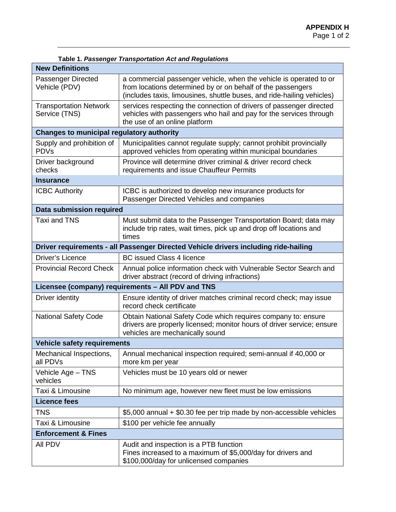| Table 1. Passenger Transportation Act and Regulations |                                                                                                                                                                                                             |  |  |  |  |
|-------------------------------------------------------|-------------------------------------------------------------------------------------------------------------------------------------------------------------------------------------------------------------|--|--|--|--|
| <b>New Definitions</b>                                |                                                                                                                                                                                                             |  |  |  |  |
| Passenger Directed<br>Vehicle (PDV)                   | a commercial passenger vehicle, when the vehicle is operated to or<br>from locations determined by or on behalf of the passengers<br>(includes taxis, limousines, shuttle buses, and ride-hailing vehicles) |  |  |  |  |
| <b>Transportation Network</b><br>Service (TNS)        | services respecting the connection of drivers of passenger directed<br>vehicles with passengers who hail and pay for the services through<br>the use of an online platform                                  |  |  |  |  |
| <b>Changes to municipal regulatory authority</b>      |                                                                                                                                                                                                             |  |  |  |  |
| Supply and prohibition of<br><b>PDVs</b>              | Municipalities cannot regulate supply; cannot prohibit provincially<br>approved vehicles from operating within municipal boundaries                                                                         |  |  |  |  |
| Driver background<br>checks                           | Province will determine driver criminal & driver record check<br>requirements and issue Chauffeur Permits                                                                                                   |  |  |  |  |
| <b>Insurance</b>                                      |                                                                                                                                                                                                             |  |  |  |  |
| <b>ICBC Authority</b>                                 | ICBC is authorized to develop new insurance products for<br>Passenger Directed Vehicles and companies                                                                                                       |  |  |  |  |
| Data submission required                              |                                                                                                                                                                                                             |  |  |  |  |
| <b>Taxi and TNS</b>                                   | Must submit data to the Passenger Transportation Board; data may<br>include trip rates, wait times, pick up and drop off locations and<br>times                                                             |  |  |  |  |
|                                                       | Driver requirements - all Passenger Directed Vehicle drivers including ride-hailing                                                                                                                         |  |  |  |  |
| Driver's Licence                                      | <b>BC</b> issued Class 4 licence                                                                                                                                                                            |  |  |  |  |
| <b>Provincial Record Check</b>                        | Annual police information check with Vulnerable Sector Search and<br>driver abstract (record of driving infractions)                                                                                        |  |  |  |  |
|                                                       | Licensee (company) requirements - All PDV and TNS                                                                                                                                                           |  |  |  |  |
| Driver identity                                       | Ensure identity of driver matches criminal record check; may issue<br>record check certificate                                                                                                              |  |  |  |  |
| <b>National Safety Code</b>                           | Obtain National Safety Code which requires company to: ensure<br>drivers are properly licensed; monitor hours of driver service; ensure<br>vehicles are mechanically sound                                  |  |  |  |  |
| <b>Vehicle safety requirements</b>                    |                                                                                                                                                                                                             |  |  |  |  |
| Mechanical Inspections,<br>all PDVs                   | Annual mechanical inspection required; semi-annual if 40,000 or<br>more km per year                                                                                                                         |  |  |  |  |
| Vehicle Age - TNS<br>vehicles                         | Vehicles must be 10 years old or newer                                                                                                                                                                      |  |  |  |  |
| Taxi & Limousine                                      | No minimum age, however new fleet must be low emissions                                                                                                                                                     |  |  |  |  |
| <b>Licence fees</b>                                   |                                                                                                                                                                                                             |  |  |  |  |
| TNS                                                   | \$5,000 annual + \$0.30 fee per trip made by non-accessible vehicles                                                                                                                                        |  |  |  |  |
| Taxi & Limousine                                      | \$100 per vehicle fee annually                                                                                                                                                                              |  |  |  |  |
| <b>Enforcement &amp; Fines</b>                        |                                                                                                                                                                                                             |  |  |  |  |
| All PDV                                               | Audit and inspection is a PTB function<br>Fines increased to a maximum of \$5,000/day for drivers and<br>\$100,000/day for unlicensed companies                                                             |  |  |  |  |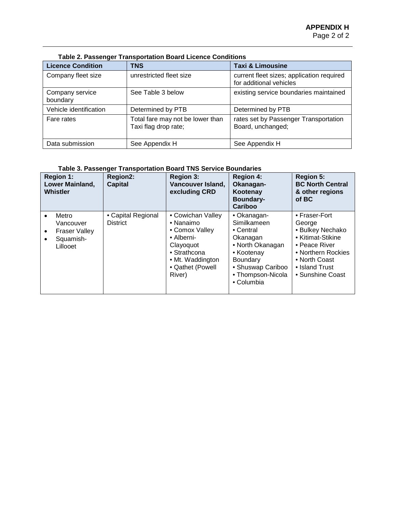| <b>Licence Condition</b>    | <b>TNS</b>                                               | <b>Taxi &amp; Limousine</b>                                          |
|-----------------------------|----------------------------------------------------------|----------------------------------------------------------------------|
| Company fleet size          | unrestricted fleet size                                  | current fleet sizes; application required<br>for additional vehicles |
| Company service<br>boundary | See Table 3 below                                        | existing service boundaries maintained                               |
| Vehicle identification      | Determined by PTB                                        | Determined by PTB                                                    |
| Fare rates                  | Total fare may not be lower than<br>Taxi flag drop rate; | rates set by Passenger Transportation<br>Board, unchanged;           |
| Data submission             | See Appendix H                                           | See Appendix H                                                       |

#### **Table 2. Passenger Transportation Board Licence Conditions**

# **Table 3. Passenger Transportation Board TNS Service Boundaries**

| <b>Region 1:</b><br>Lower Mainland,<br>Whistler                                                            | Region2:<br><b>Capital</b>            | <b>Region 3:</b><br>Vancouver Island,<br>excluding CRD                                                                                        | <b>Region 4:</b><br>Okanagan-<br>Kootenay<br><b>Boundary-</b><br>Cariboo                                                                                  | <b>Region 5:</b><br><b>BC North Central</b><br>& other regions<br>of BC                                                                                        |
|------------------------------------------------------------------------------------------------------------|---------------------------------------|-----------------------------------------------------------------------------------------------------------------------------------------------|-----------------------------------------------------------------------------------------------------------------------------------------------------------|----------------------------------------------------------------------------------------------------------------------------------------------------------------|
| Metro<br>$\bullet$<br>Vancouver<br><b>Fraser Valley</b><br>$\bullet$<br>Squamish-<br>$\bullet$<br>Lillooet | • Capital Regional<br><b>District</b> | • Cowichan Valley<br>• Nanaimo<br>• Comox Valley<br>• Alberni-<br>Clayoquot<br>• Strathcona<br>• Mt. Waddington<br>• Qathet (Powell<br>River) | • Okanagan-<br>Similkameen<br>• Central<br>Okanagan<br>• North Okanagan<br>• Kootenay<br>Boundary<br>• Shuswap Cariboo<br>• Thompson-Nicola<br>• Columbia | • Fraser-Fort<br>George<br>• Bulkey Nechako<br>• Kitimat-Stikine<br>• Peace River<br>• Northern Rockies<br>• North Coast<br>• Island Trust<br>• Sunshine Coast |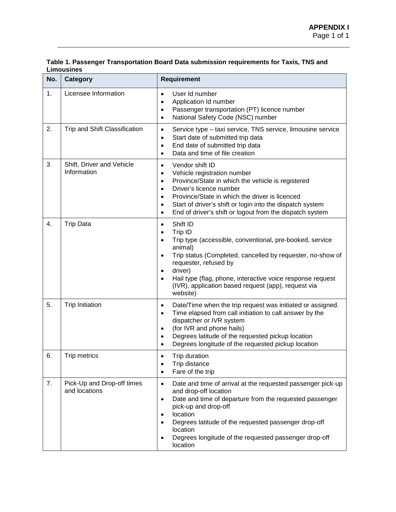| No. | Category                                    | <b>Requirement</b>                                                                                                                                                                                                                                                                                                                                                                                          |
|-----|---------------------------------------------|-------------------------------------------------------------------------------------------------------------------------------------------------------------------------------------------------------------------------------------------------------------------------------------------------------------------------------------------------------------------------------------------------------------|
| 1.  | Licensee Information                        | User Id number<br>$\bullet$<br>Application Id number<br>$\bullet$<br>Passenger transportation (PT) licence number<br>$\bullet$<br>National Safety Code (NSC) number<br>$\bullet$                                                                                                                                                                                                                            |
| 2.  | Trip and Shift Classification               | Service type - taxi service, TNS service, limousine service<br>$\bullet$<br>Start date of submitted trip data<br>$\bullet$<br>End date of submitted trip data<br>$\bullet$<br>Data and time of file creation<br>$\bullet$                                                                                                                                                                                   |
| 3   | Shift, Driver and Vehicle<br>Information    | Vendor shift ID<br>$\bullet$<br>Vehicle registration number<br>$\bullet$<br>Province/State in which the vehicle is registered<br>$\bullet$<br>Driver's licence number<br>$\bullet$<br>Province/State in which the driver is licenced<br>$\bullet$<br>Start of driver's shift or login into the dispatch system<br>$\bullet$<br>End of driver's shift or logout from the dispatch system<br>$\bullet$        |
| 4.  | <b>Trip Data</b>                            | Shift ID<br>$\bullet$<br>Trip ID<br>$\bullet$<br>Trip type (accessible, conventional, pre-booked, service<br>$\bullet$<br>animal)<br>Trip status (Completed, cancelled by requester, no-show of<br>$\bullet$<br>requester, refused by<br>driver)<br>$\bullet$<br>Hail type (flag, phone, interactive voice response request<br>$\bullet$<br>(IVR), application based request (app), request via<br>website) |
| 5.  | <b>Trip Initiation</b>                      | Date/Time when the trip request was initiated or assigned.<br>$\bullet$<br>Time elapsed from call initiation to call answer by the<br>$\bullet$<br>dispatcher or IVR system<br>(for IVR and phone hails)<br>$\bullet$<br>Degrees latitude of the requested pickup location<br>$\bullet$<br>Degrees longitude of the requested pickup location<br>$\bullet$                                                  |
| 6.  | Trip metrics                                | Trip duration<br>$\bullet$<br>Trip distance<br>٠<br>Fare of the trip<br>$\bullet$                                                                                                                                                                                                                                                                                                                           |
| 7.  | Pick-Up and Drop-off times<br>and locations | Date and time of arrival at the requested passenger pick-up<br>$\bullet$<br>and drop-off location<br>Date and time of departure from the requested passenger<br>$\bullet$<br>pick-up and drop-off<br>location<br>$\bullet$<br>Degrees latitude of the requested passenger drop-off<br>$\bullet$<br>location<br>Degrees longitude of the requested passenger drop-off<br>٠<br>location                       |

### **Table 1. Passenger Transportation Board Data submission requirements for Taxis, TNS and Limousines**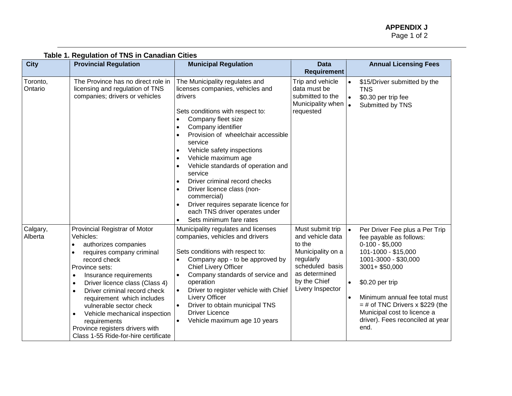| Table 1. Regulation of TNS in Canadian Cities |                                                                                                                                                                                                                                                                                                                                                                                                                         |                                                                                                                                                                                                                                                                                                                                                                                                                                                                                                                                   |                                                                                                                                                          |                                                                                                                                                                                                                                                                                                                                 |
|-----------------------------------------------|-------------------------------------------------------------------------------------------------------------------------------------------------------------------------------------------------------------------------------------------------------------------------------------------------------------------------------------------------------------------------------------------------------------------------|-----------------------------------------------------------------------------------------------------------------------------------------------------------------------------------------------------------------------------------------------------------------------------------------------------------------------------------------------------------------------------------------------------------------------------------------------------------------------------------------------------------------------------------|----------------------------------------------------------------------------------------------------------------------------------------------------------|---------------------------------------------------------------------------------------------------------------------------------------------------------------------------------------------------------------------------------------------------------------------------------------------------------------------------------|
| <b>City</b>                                   | <b>Provincial Regulation</b>                                                                                                                                                                                                                                                                                                                                                                                            | <b>Municipal Regulation</b>                                                                                                                                                                                                                                                                                                                                                                                                                                                                                                       | <b>Data</b><br><b>Requirement</b>                                                                                                                        | <b>Annual Licensing Fees</b>                                                                                                                                                                                                                                                                                                    |
| Toronto,<br>Ontario                           | The Province has no direct role in<br>licensing and regulation of TNS<br>companies; drivers or vehicles                                                                                                                                                                                                                                                                                                                 | The Municipality regulates and<br>licenses companies, vehicles and<br>drivers<br>Sets conditions with respect to:<br>Company fleet size<br>Company identifier<br>Provision of wheelchair accessible<br>service<br>Vehicle safety inspections<br>$\bullet$<br>Vehicle maximum age<br>Vehicle standards of operation and<br>$\bullet$<br>service<br>Driver criminal record checks<br>Driver licence class (non-<br>commercial)<br>Driver requires separate licence for<br>each TNS driver operates under<br>Sets minimum fare rates | Trip and vehicle<br>data must be<br>submitted to the<br>Municipality when<br>requested                                                                   | \$15/Driver submitted by the<br><b>TNS</b><br>\$0.30 per trip fee<br>$\bullet$<br>Submitted by TNS<br>$\bullet$                                                                                                                                                                                                                 |
| Calgary,<br>Alberta                           | Provincial Registrar of Motor<br>Vehicles:<br>authorizes companies<br>requires company criminal<br>record check<br>Province sets:<br>Insurance requirements<br>Driver licence class (Class 4)<br>٠<br>Driver criminal record check<br>requirement which includes<br>vulnerable sector check<br>Vehicle mechanical inspection<br>requirements<br>Province registers drivers with<br>Class 1-55 Ride-for-hire certificate | Municipality regulates and licenses<br>companies, vehicles and drivers<br>Sets conditions with respect to:<br>Company app - to be approved by<br><b>Chief Livery Officer</b><br>Company standards of service and<br>$\bullet$<br>operation<br>Driver to register vehicle with Chief<br>$\bullet$<br>Livery Officer<br>Driver to obtain municipal TNS<br>$\bullet$<br><b>Driver Licence</b><br>Vehicle maximum age 10 years<br>$\bullet$                                                                                           | Must submit trip<br>and vehicle data<br>to the<br>Municipality on a<br>regularly<br>scheduled basis<br>as determined<br>by the Chief<br>Livery Inspector | Per Driver Fee plus a Per Trip<br>fee payable as follows:<br>$0-100 - $5,000$<br>101-1000 - \$15,000<br>1001-3000 - \$30,000<br>3001+ \$50,000<br>\$0.20 per trip<br>$\bullet$<br>Minimum annual fee total must<br>$=$ # of TNC Drivers x \$229 (the<br>Municipal cost to licence a<br>driver). Fees reconciled at year<br>end. |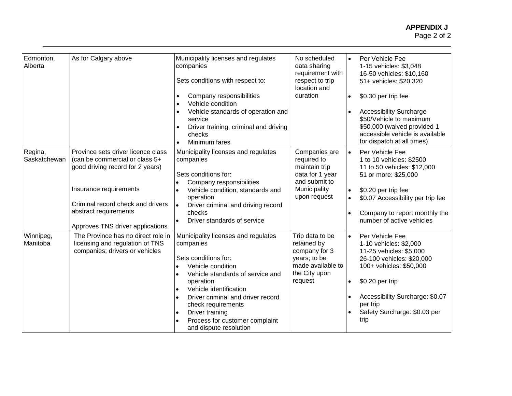| Edmonton,<br>Alberta    | As for Calgary above                                                                                                                                                                                                                 | Municipality licenses and regulates<br>companies<br>Sets conditions with respect to:<br>Company responsibilities<br>Vehicle condition<br>Vehicle standards of operation and<br>service<br>Driver training, criminal and driving<br>checks                                                                          | No scheduled<br>data sharing<br>requirement with<br>respect to trip<br>location and<br>duration                   | $\bullet$              | Per Vehicle Fee<br>1-15 vehicles: \$3,048<br>16-50 vehicles: \$10,160<br>51+ vehicles: \$20,320<br>\$0.30 per trip fee<br><b>Accessibility Surcharge</b><br>\$50/Vehicle to maximum<br>\$50,000 (waived provided 1<br>accessible vehicle is available      |
|-------------------------|--------------------------------------------------------------------------------------------------------------------------------------------------------------------------------------------------------------------------------------|--------------------------------------------------------------------------------------------------------------------------------------------------------------------------------------------------------------------------------------------------------------------------------------------------------------------|-------------------------------------------------------------------------------------------------------------------|------------------------|------------------------------------------------------------------------------------------------------------------------------------------------------------------------------------------------------------------------------------------------------------|
| Regina,<br>Saskatchewan | Province sets driver licence class<br>(can be commercial or class 5+<br>good driving record for 2 years)<br>Insurance requirements<br>Criminal record check and drivers<br>abstract requirements<br>Approves TNS driver applications | Minimum fares<br>Municipality licenses and regulates<br>companies<br>Sets conditions for:<br>Company responsibilities<br>Vehicle condition, standards and<br>operation<br>Driver criminal and driving record<br>checks<br>Driver standards of service                                                              | Companies are<br>required to<br>maintain trip<br>data for 1 year<br>and submit to<br>Municipality<br>upon request | $\bullet$<br>$\bullet$ | for dispatch at all times)<br>Per Vehicle Fee<br>1 to 10 vehicles: \$2500<br>11 to 50 vehicles: \$12,000<br>51 or more: \$25,000<br>\$0.20 per trip fee<br>\$0.07 Accessibility per trip fee<br>Company to report monthly the<br>number of active vehicles |
| Winnipeg,<br>Manitoba   | The Province has no direct role in<br>licensing and regulation of TNS<br>companies; drivers or vehicles                                                                                                                              | Municipality licenses and regulates<br>companies<br>Sets conditions for:<br>Vehicle condition<br>Vehicle standards of service and<br>operation<br>Vehicle identification<br>Driver criminal and driver record<br>check requirements<br>Driver training<br>Process for customer complaint<br>and dispute resolution | Trip data to be<br>retained by<br>company for 3<br>years; to be<br>made available to<br>the City upon<br>request  | $\bullet$              | Per Vehicle Fee<br>1-10 vehicles: \$2,000<br>11-25 vehicles: \$5,000<br>26-100 vehicles: \$20,000<br>100+ vehicles: \$50,000<br>\$0.20 per trip<br>Accessibility Surcharge: \$0.07<br>per trip<br>Safety Surcharge: \$0.03 per<br>trip                     |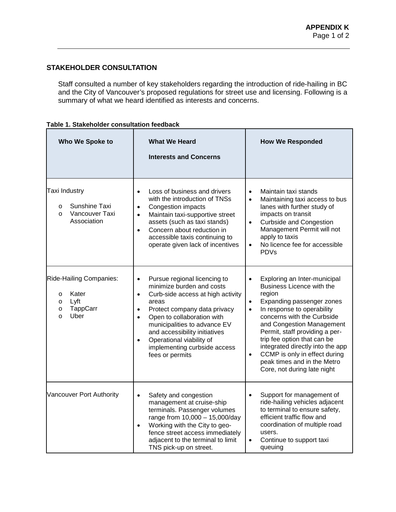# **STAKEHOLDER CONSULTATION**

Staff consulted a number of key stakeholders regarding the introduction of ride-hailing in BC and the City of Vancouver's proposed regulations for street use and licensing. Following is a summary of what we heard identified as interests and concerns.

| Who We Spoke to                                                                                    | <b>What We Heard</b><br><b>Interests and Concerns</b>                                                                                                                                                                                                                                                                                                                     | <b>How We Responded</b>                                                                                                                                                                                                                                                                                                                                                                                                              |
|----------------------------------------------------------------------------------------------------|---------------------------------------------------------------------------------------------------------------------------------------------------------------------------------------------------------------------------------------------------------------------------------------------------------------------------------------------------------------------------|--------------------------------------------------------------------------------------------------------------------------------------------------------------------------------------------------------------------------------------------------------------------------------------------------------------------------------------------------------------------------------------------------------------------------------------|
| Taxi Industry<br>Sunshine Taxi<br>$\circ$<br>Vancouver Taxi<br>$\circ$<br>Association              | Loss of business and drivers<br>$\bullet$<br>with the introduction of TNSs<br>Congestion impacts<br>$\bullet$<br>Maintain taxi-supportive street<br>$\bullet$<br>assets (such as taxi stands)<br>Concern about reduction in<br>$\bullet$<br>accessible taxis continuing to<br>operate given lack of incentives                                                            | Maintain taxi stands<br>$\bullet$<br>Maintaining taxi access to bus<br>$\bullet$<br>lanes with further study of<br>impacts on transit<br><b>Curbside and Congestion</b><br>$\bullet$<br>Management Permit will not<br>apply to taxis<br>No licence fee for accessible<br>$\bullet$<br><b>PDVs</b>                                                                                                                                    |
| Ride-Hailing Companies:<br>Kater<br>$\circ$<br>Lyft<br>$\circ$<br>TappCarr<br>O<br>Uber<br>$\circ$ | Pursue regional licencing to<br>$\bullet$<br>minimize burden and costs<br>Curb-side access at high activity<br>$\bullet$<br>areas<br>Protect company data privacy<br>Open to collaboration with<br>$\bullet$<br>municipalities to advance EV<br>and accessibility initiatives<br>Operational viability of<br>$\bullet$<br>implementing curbside access<br>fees or permits | Exploring an Inter-municipal<br>Business Licence with the<br>region<br>Expanding passenger zones<br>$\bullet$<br>In response to operability<br>$\bullet$<br>concerns with the Curbside<br>and Congestion Management<br>Permit, staff providing a per-<br>trip fee option that can be<br>integrated directly into the app<br>CCMP is only in effect during<br>$\bullet$<br>peak times and in the Metro<br>Core, not during late night |
| Vancouver Port Authority                                                                           | Safety and congestion<br>$\bullet$<br>management at cruise-ship<br>terminals. Passenger volumes<br>range from 10,000 - 15,000/day<br>Working with the City to geo-<br>$\bullet$<br>fence street access immediately<br>adjacent to the terminal to limit<br>TNS pick-up on street.                                                                                         | Support for management of<br>$\bullet$<br>ride-hailing vehicles adjacent<br>to terminal to ensure safety,<br>efficient traffic flow and<br>coordination of multiple road<br>users.<br>Continue to support taxi<br>$\bullet$<br>queuing                                                                                                                                                                                               |

| Table 1. Stakeholder consultation feedback |  |  |
|--------------------------------------------|--|--|
|--------------------------------------------|--|--|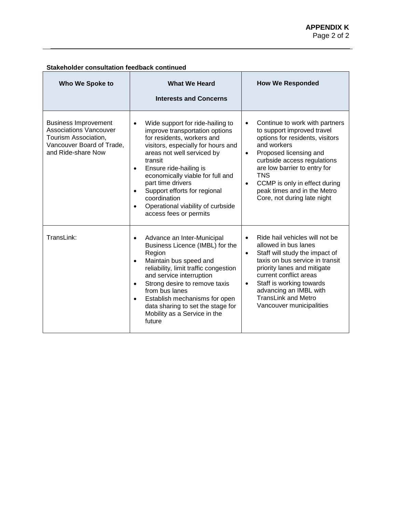| <b>Who We Spoke to</b>                                                                                                                  | <b>What We Heard</b><br><b>Interests and Concerns</b>                                                                                                                                                                                                                                                                                                                                                                                 | <b>How We Responded</b>                                                                                                                                                                                                                                                                                                                                     |
|-----------------------------------------------------------------------------------------------------------------------------------------|---------------------------------------------------------------------------------------------------------------------------------------------------------------------------------------------------------------------------------------------------------------------------------------------------------------------------------------------------------------------------------------------------------------------------------------|-------------------------------------------------------------------------------------------------------------------------------------------------------------------------------------------------------------------------------------------------------------------------------------------------------------------------------------------------------------|
| <b>Business Improvement</b><br><b>Associations Vancouver</b><br>Tourism Association,<br>Vancouver Board of Trade,<br>and Ride-share Now | Wide support for ride-hailing to<br>$\bullet$<br>improve transportation options<br>for residents, workers and<br>visitors, especially for hours and<br>areas not well serviced by<br>transit<br>Ensure ride-hailing is<br>$\bullet$<br>economically viable for full and<br>part time drivers<br>Support efforts for regional<br>$\bullet$<br>coordination<br>Operational viability of curbside<br>$\bullet$<br>access fees or permits | Continue to work with partners<br>$\bullet$<br>to support improved travel<br>options for residents, visitors<br>and workers<br>Proposed licensing and<br>$\bullet$<br>curbside access regulations<br>are low barrier to entry for<br><b>TNS</b><br>CCMP is only in effect during<br>$\bullet$<br>peak times and in the Metro<br>Core, not during late night |
| TransLink:                                                                                                                              | Advance an Inter-Municipal<br>$\bullet$<br>Business Licence (IMBL) for the<br>Region<br>Maintain bus speed and<br>$\bullet$<br>reliability, limit traffic congestion<br>and service interruption<br>Strong desire to remove taxis<br>$\bullet$<br>from bus lanes<br>Establish mechanisms for open<br>$\bullet$<br>data sharing to set the stage for<br>Mobility as a Service in the<br>future                                         | Ride hail vehicles will not be<br>$\bullet$<br>allowed in bus lanes<br>Staff will study the impact of<br>$\bullet$<br>taxis on bus service in transit<br>priority lanes and mitigate<br>current conflict areas<br>Staff is working towards<br>$\bullet$<br>advancing an IMBL with<br><b>TransLink and Metro</b><br>Vancouver municipalities                 |